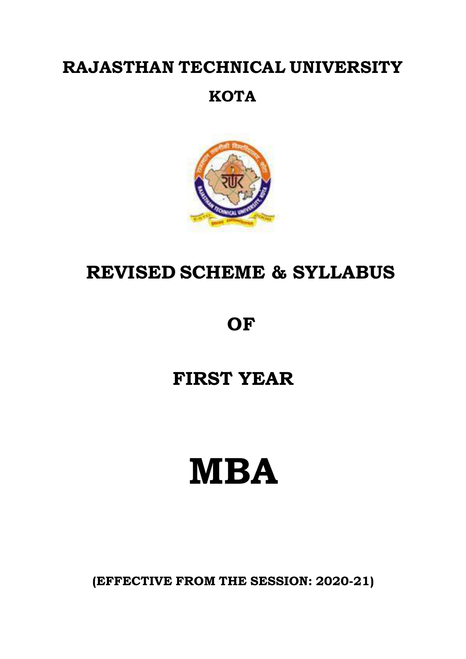### **RAJASTHAN TECHNICAL UNIVERSITY**

### **KOTA**



# **REVISED SCHEME & SYLLABUS**

# **OF**

# **FIRST YEAR**

# **MBA**

**(EFFECTIVE FROM THE SESSION: 2020-21)**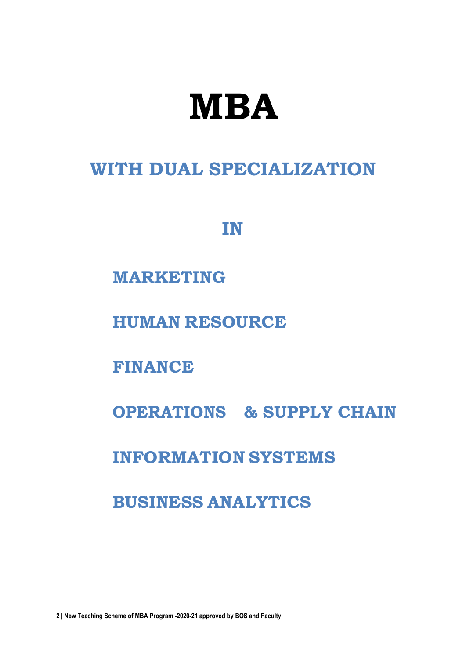# **MBA**

### **WITH DUAL SPECIALIZATION**

### **IN**

### **MARKETING**

**HUMAN RESOURCE**

**FINANCE**

**OPERATIONS & SUPPLY CHAIN**

**INFORMATION SYSTEMS**

**BUSINESS ANALYTICS**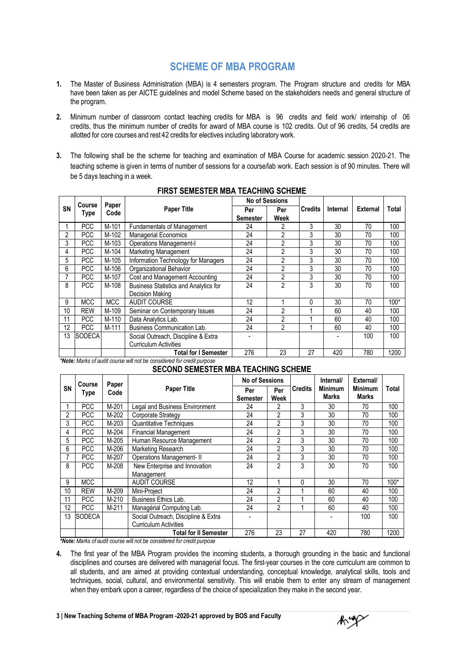### **SCHEME OF MBA PROGRAM**

- **1.** The Master of Business Administration (MBA) is 4 semesters program. The Program structure and credits for MBA have been taken as per AICTE guidelines and model Scheme based on the stakeholders needs and general structure of the program.
- **2.** Minimum number of classroom contact teaching credits for MBA is 96 credits and field work/ internship of 06 credits, thus the minimum number of credits for award of MBA course is 102 credits. Out of 96 credits, 54 credits are allotted for core courses and rest 42 credits for electives including laboratory work.
- **3.** The following shall be the scheme for teaching and examination of MBA Course for academic session 2020-21. The teaching scheme is given in terms of number of sessions for a course/lab work. Each session is of 90 minutes. There will be 5 days teaching in a week.

|           |                       |               |                                       |          | <b>No of Sessions</b> |                |          |                 |       |
|-----------|-----------------------|---------------|---------------------------------------|----------|-----------------------|----------------|----------|-----------------|-------|
| <b>SN</b> | <b>Course</b><br>Type | Paper<br>Code | <b>Paper Title</b>                    | Per      | Per                   | <b>Credits</b> | Internal | <b>External</b> | Total |
|           |                       |               |                                       | Semester | <b>Week</b>           |                |          |                 |       |
|           | <b>PCC</b>            | M-101         | Fundamentals of Management            | 24       | 2                     | 3              | 30       | 70              | 100   |
| 2         | <b>PCC</b>            | M-102         | <b>Managerial Economics</b>           | 24       | $\overline{2}$        | 3              | 30       | 70              | 100   |
| 3         | <b>PCC</b>            | M-103         | <b>Operations Management-I</b>        | 24       | 2                     | 3              | 30       | 70              | 100   |
| 4         | <b>PCC</b>            | M-104         | Marketing Management                  | 24       | 2                     | 3              | 30       | 70              | 100   |
| 5         | <b>PCC</b>            | M-105         | Information Technology for Managers   | 24       | $\overline{2}$        | 3              | 30       | 70              | 100   |
| 6         | <b>PCC</b>            | M-106         | Organizational Behavior               | 24       | $\overline{2}$        | 3              | 30       | 70              | 100   |
|           | <b>PCC</b>            | M-107         | Cost and Management Accounting        | 24       | $\overline{2}$        | 3              | 30       | 70              | 100   |
| 8         | <b>PCC</b>            | M-108         | Business Statistics and Analytics for | 24       | $\overline{2}$        | 3              | 30       | 70              | 100   |
|           |                       |               | Decision Making                       |          |                       |                |          |                 |       |
| 9         | <b>MCC</b>            | <b>MCC</b>    | <b>AUDIT COURSE</b>                   | 12       |                       | 0              | 30       | 70              | 100*  |
| 10        | <b>REW</b>            | M-109         | Seminar on Contemporary Issues        | 24       | $\overline{2}$        | 4              | 60       | 40              | 100   |
| 11        | <b>PCC</b>            | M-110         | Data Analytics Lab.                   | 24       | $\overline{2}$        |                | 60       | 40              | 100   |
| 12        | <b>PCC</b>            | M-111         | Business Communication Lab.           | 24       | $\mathfrak{p}$        |                | 60       | 40              | 100   |
| 13        | <b>SODECA</b>         |               | Social Outreach, Discipline & Extra   |          |                       |                |          | 100             | 100   |
|           |                       |               | <b>Curriculum Activities</b>          |          |                       |                |          |                 |       |
|           |                       |               | <b>Total for I Semester</b>           | 276      | 23                    | 27             | 420      | 780             | 1200  |

#### **FIRST SEMESTER MBA TEACHING SCHEME**

*\*Note: Marks of audit course will not be considered for credit purpose*

#### **SECOND SEMESTER MBA TEACHING SCHEME**

|    | Course        | Paper   |                                       | <b>No of Sessions</b> |                |                | Internal/               | External/               |       |
|----|---------------|---------|---------------------------------------|-----------------------|----------------|----------------|-------------------------|-------------------------|-------|
| SN | Type          | Code    | <b>Paper Title</b>                    | Per                   | Per            | <b>Credits</b> | <b>Minimum</b><br>Marks | <b>Minimum</b><br>Marks | Total |
|    |               |         |                                       | <b>Semester</b>       | Week           |                |                         |                         |       |
|    | <b>PCC</b>    | M-201   | <b>Legal and Business Environment</b> | 24                    | 2              | 3              | 30                      | 70                      | 100   |
| 2  | <b>PCC</b>    | M-202   | Corporate Strategy                    | 24                    | 2              | 3              | 30                      | 70                      | 100   |
| 3  | <b>PCC</b>    | M-203   | Quantitative Techniques               | 24                    | 2              | 3              | 30                      | 70                      | 100   |
| 4  | <b>PCC</b>    | M-204   | <b>Financial Management</b>           | 24                    | $\overline{2}$ | 3              | 30                      | 70                      | 100   |
| 5  | <b>PCC</b>    | M-205   | Human Resource Management             | 24                    | $\overline{2}$ | 3              | 30                      | 70                      | 100   |
| 6  | <b>PCC</b>    | M-206   | Marketing Research                    | 24                    | $\overline{2}$ | 3              | 30                      | 70                      | 100   |
| 7  | <b>PCC</b>    | M-207   | <b>Operations Management-II</b>       | 24                    | $\overline{2}$ | 3              | 30                      | 70                      | 100   |
| 8  | <b>PCC</b>    | M-208   | New Enterprise and Innovation         | 24                    | 2              | 3              | 30                      | 70                      | 100   |
|    |               |         | Management                            |                       |                |                |                         |                         |       |
| 9  | <b>MCC</b>    |         | <b>AUDIT COURSE</b>                   | 12                    |                | 0              | 30                      | 70                      | 100*  |
| 10 | <b>REW</b>    | M-209   | Mini-Project                          | 24                    | 2              |                | 60                      | 40                      | 100   |
| 11 | <b>PCC</b>    | M-210   | Business Ethics Lab.                  | 24                    | $\overline{2}$ |                | 60                      | 40                      | 100   |
| 12 | <b>PCC</b>    | $M-211$ | Managérial Computing Lab.             | 24                    | 2              |                | 60                      | 40                      | 100   |
| 13 | <b>SODECA</b> |         | Social Outreach, Discipline & Extra   |                       |                |                |                         | 100                     | 100   |
|    |               |         | <b>Curriculum Activities</b>          |                       |                |                |                         |                         |       |
|    |               |         | <b>Total for II Semester</b>          | 276                   | 23             | 27             | 420                     | 780                     | 1200  |

*\*Note: Marks of audit course will not be considered for credit purpose*

**4.** The first year of the MBA Program provides the incoming students, a thorough grounding in the basic and functional disciplines and courses are delivered with managerial focus. The first-year courses in the core curriculum are common to all students, and are aimed at providing contextual understanding, conceptual knowledge, analytical skills, tools and techniques, social, cultural, and environmental sensitivity. This will enable them to enter any stream of management when they embark upon a career, regardless of the choice of specialization they make in the second year.

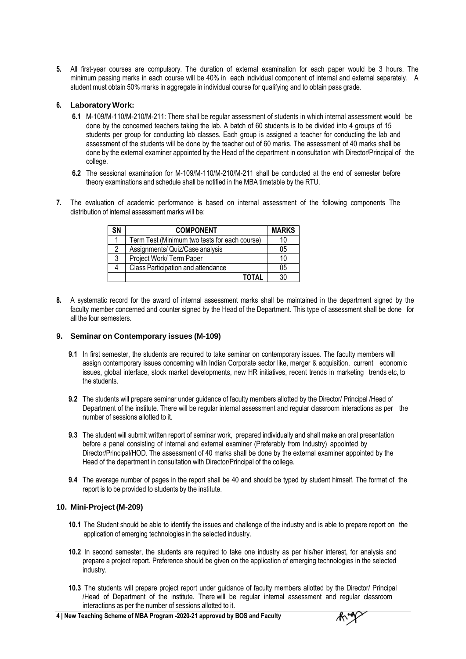**5.** All first-year courses are compulsory. The duration of external examination for each paper would be 3 hours. The minimum passing marks in each course will be 40% in each individual component of internal and external separately. A student must obtain 50% marks in aggregate in individual course for qualifying and to obtain pass grade.

#### **6. Laboratory Work:**

- **6.1** M-109/M-110/M-210/M-211: There shall be regular assessment of students in which internal assessment would be done by the concerned teachers taking the lab. A batch of 60 students is to be divided into 4 groups of 15 students per group for conducting lab classes. Each group is assigned a teacher for conducting the lab and assessment of the students will be done by the teacher out of 60 marks. The assessment of 40 marks shall be done by the external examiner appointed by the Head of the department in consultation with Director/Principal of the college.
- **6.2** The sessional examination for M-109/M-110/M-210/M-211 shall be conducted at the end of semester before theory examinations and schedule shall be notified in the MBA timetable by the RTU.
- **7.** The evaluation of academic performance is based on internal assessment of the following components The distribution of internal assessment marks will be:

| SN | <b>COMPONENT</b>                              | <b>MARKS</b> |
|----|-----------------------------------------------|--------------|
|    | Term Test (Minimum two tests for each course) | 10           |
| 2  | Assignments/ Quiz/Case analysis               | 05           |
| 3  | Project Work/ Term Paper                      | 10           |
| 4  | Class Participation and attendance            | 05           |
|    | TOTAL                                         | 30           |

**8.** A systematic record for the award of internal assessment marks shall be maintained in the department signed by the faculty member concerned and counter signed by the Head of the Department. This type of assessment shall be done for all the four semesters.

#### **9. Seminar on Contemporary issues (M-109)**

- **9.1** In first semester, the students are required to take seminar on contemporary issues. The faculty members will assign contemporary issues concerning with Indian Corporate sector like, merger & acquisition, current economic issues, global interface, stock market developments, new HR initiatives, recent trends in marketing trends etc, to the students.
- **9.2** The students will prepare seminar under guidance of faculty members allotted by the Director/ Principal /Head of Department of the institute. There will be regular internal assessment and regular classroom interactions as per the number of sessions allotted to it.
- **9.3** The student will submit written report of seminar work, prepared individually and shall make an oral presentation before a panel consisting of internal and external examiner (Preferably from Industry) appointed by Director/Principal/HOD. The assessment of 40 marks shall be done by the external examiner appointed by the Head of the department in consultation with Director/Principal of the college.
- **9.4** The average number of pages in the report shall be 40 and should be typed by student himself. The format of the report is to be provided to students by the institute.

#### **10. Mini-Project (M-209)**

- **10.1** The Student should be able to identify the issues and challenge of the industry and is able to prepare report on the application of emerging technologies in the selected industry.
- **10.2** In second semester, the students are required to take one industry as per his/her interest, for analysis and prepare a project report. Preference should be given on the application of emerging technologies in the selected industry.
- **10.3** The students will prepare project report under guidance of faculty members allotted by the Director/ Principal /Head of Department of the institute. There will be regular internal assessment and regular classroom interactions as per the number of sessions allotted to it.
- **4 | New Teaching Scheme of MBA Program -2020-21 approved by BOS and Faculty**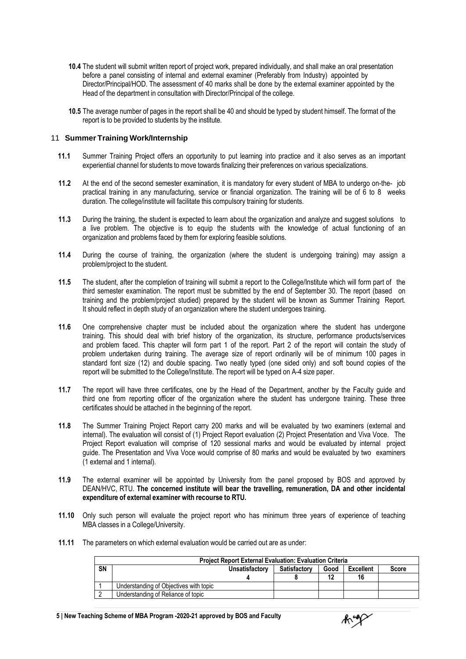- **10.4** The student will submit written report of project work, prepared individually, and shall make an oral presentation before a panel consisting of internal and external examiner (Preferably from Industry) appointed by Director/Principal/HOD. The assessment of 40 marks shall be done by the external examiner appointed by the Head of the department in consultation with Director/Principal of the college.
- **10.5** The average number of pages in the report shall be 40 and should be typed by student himself. The format of the report is to be provided to students by the institute.

#### 11 **Summer Training Work/Internship**

- **11.1** Summer Training Project offers an opportunity to put learning into practice and it also serves as an important experiential channel for students to move towards finalizing their preferences on various specializations.
- **11.2** At the end of the second semester examination, it is mandatory for every student of MBA to undergo on-the- job practical training in any manufacturing, service or financial organization. The training will be of 6 to 8 weeks duration. The college/institute will facilitate this compulsory training for students.
- **11.3** During the training, the student is expected to learn about the organization and analyze and suggest solutions to a live problem. The objective is to equip the students with the knowledge of actual functioning of an organization and problems faced by them for exploring feasible solutions.
- **11.4** During the course of training, the organization (where the student is undergoing training) may assign a problem/project to the student.
- **11.5** The student, after the completion of training will submit a report to the College/Institute which will form part of the third semester examination. The report must be submitted by the end of September 30. The report (based on training and the problem/project studied) prepared by the student will be known as Summer Training Report. It should reflect in depth study of an organization where the student undergoes training.
- **11.6** One comprehensive chapter must be included about the organization where the student has undergone training. This should deal with brief history of the organization, its structure, performance products/services and problem faced. This chapter will form part 1 of the report. Part 2 of the report will contain the study of problem undertaken during training. The average size of report ordinarily will be of minimum 100 pages in standard font size (12) and double spacing. Two neatly typed (one sided only) and soft bound copies of the report will be submitted to the College/Institute. The report will be typed on A-4 size paper.
- **11.7** The report will have three certificates, one by the Head of the Department, another by the Faculty guide and third one from reporting officer of the organization where the student has undergone training. These three certificates should be attached in the beginning of the report.
- **11.8** The Summer Training Project Report carry 200 marks and will be evaluated by two examiners (external and internal). The evaluation will consist of (1) Project Report evaluation (2) Project Presentation and Viva Voce. The Project Report evaluation will comprise of 120 sessional marks and would be evaluated by internal project guide. The Presentation and Viva Voce would comprise of 80 marks and would be evaluated by two examiners (1 external and 1 internal).
- **11.9** The external examiner will be appointed by University from the panel proposed by BOS and approved by DEAN/HVC, RTU. **The concerned institute will bear the travelling, remuneration, DA and other incidental expenditure of external examiner with recourse to RTU.**
- **11.10** Only such person will evaluate the project report who has minimum three years of experience of teaching MBA classes in a College/University.
- **11.11** The parameters on which external evaluation would be carried out are as under:

|    | <b>Project Report External Evaluation: Evaluation Criteria</b> |                |                     |      |                  |              |  |
|----|----------------------------------------------------------------|----------------|---------------------|------|------------------|--------------|--|
| SN |                                                                | Unsatisfactory | <b>Satisfactory</b> | Good | <b>Excellent</b> | <b>Score</b> |  |
|    |                                                                |                |                     |      | 16               |              |  |
|    | Understanding of Objectives with topic                         |                |                     |      |                  |              |  |
|    | Understanding of Reliance of topic                             |                |                     |      |                  |              |  |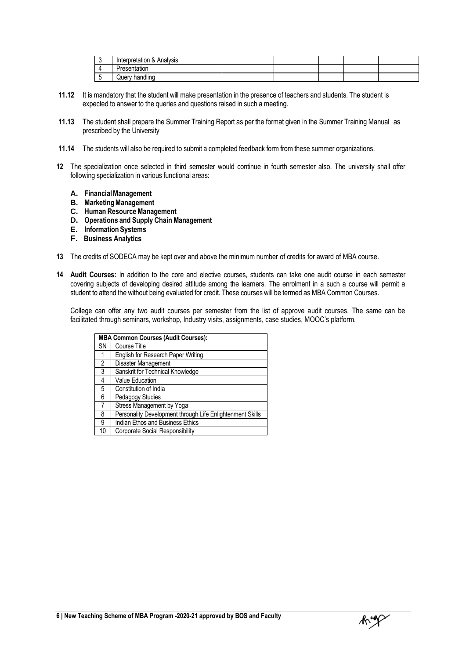| ◠ | Interpretation & Analysis |  |  |  |
|---|---------------------------|--|--|--|
|   | Presentation              |  |  |  |
|   | handling<br><b>Query</b>  |  |  |  |

- **11.12** It is mandatory that the student will make presentation in the presence of teachers and students. The student is expected to answer to the queries and questions raised in such a meeting.
- **11.13** The student shall prepare the Summer Training Report as per the format given in the Summer Training Manual as prescribed by the University
- **11.14** The students will also be required to submit a completed feedback form from these summer organizations.
- **12** The specialization once selected in third semester would continue in fourth semester also. The university shall offer following specialization in various functional areas:
	- **A. FinancialManagement**
	- **B. MarketingManagement**
	- **C.** Human Resource Management
	- **D. Operations and Supply Chain Management**
	- **E. Information Systems**
	- **F. Business Analytics**
- **13** The credits of SODECA may be kept over and above the minimum number of credits for award of MBA course.
- **14 Audit Courses:** In addition to the core and elective courses, students can take one audit course in each semester covering subjects of developing desired attitude among the learners. The enrolment in a such a course will permit a student to attend the without being evaluated for credit. These courses will be termed as MBA Common Courses.

College can offer any two audit courses per semester from the list of approve audit courses. The same can be facilitated through seminars, workshop, Industry visits, assignments, case studies, MOOC's platform.

|                | <b>MBA Common Courses (Audit Courses):</b>                |  |  |  |
|----------------|-----------------------------------------------------------|--|--|--|
| SΝ             | Course Title                                              |  |  |  |
|                | English for Research Paper Writing                        |  |  |  |
| $\overline{2}$ | Disaster Management                                       |  |  |  |
| 3              | Sanskrit for Technical Knowledge                          |  |  |  |
| 4              | <b>Value Education</b>                                    |  |  |  |
| 5              | Constitution of India                                     |  |  |  |
| 6              | Pedagogy Studies                                          |  |  |  |
| 7              | Stress Management by Yoga                                 |  |  |  |
| 8              | Personality Development through Life Enlightenment Skills |  |  |  |
| 9              | Indian Ethos and Business Ethics                          |  |  |  |
| 10             | <b>Corporate Social Responsibility</b>                    |  |  |  |

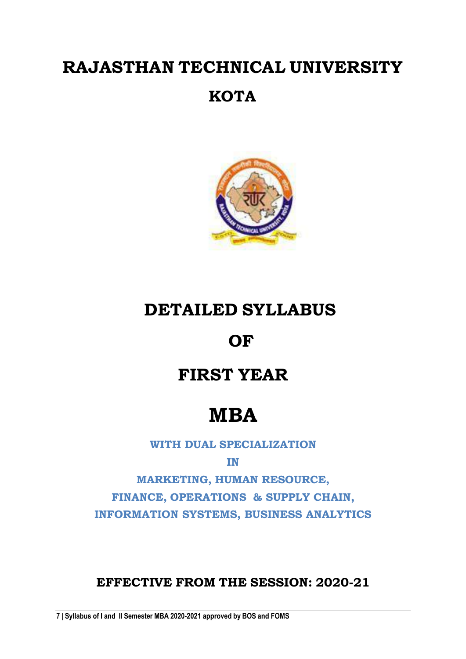# **RAJASTHAN TECHNICAL UNIVERSITY**

### **KOTA**



### **DETAILED SYLLABUS**

### **OF**

### **FIRST YEAR**

# **MBA**

**WITH DUAL SPECIALIZATION**

**IN**

**MARKETING, HUMAN RESOURCE, FINANCE, OPERATIONS & SUPPLY CHAIN, INFORMATION SYSTEMS, BUSINESS ANALYTICS**

### **EFFECTIVE FROM THE SESSION: 2020-21**

**7 | Syllabus of I and II Semester MBA 2020-2021 approved by BOS and FOMS**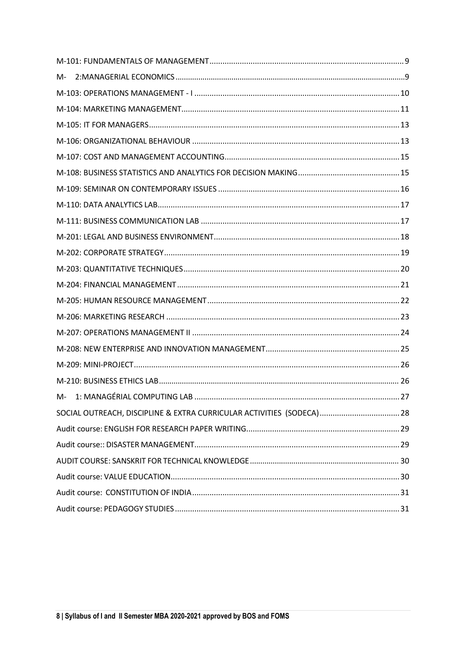| M- |                                                                       |  |
|----|-----------------------------------------------------------------------|--|
|    |                                                                       |  |
|    |                                                                       |  |
|    |                                                                       |  |
|    |                                                                       |  |
|    |                                                                       |  |
|    |                                                                       |  |
|    |                                                                       |  |
|    |                                                                       |  |
|    |                                                                       |  |
|    |                                                                       |  |
|    |                                                                       |  |
|    |                                                                       |  |
|    |                                                                       |  |
|    |                                                                       |  |
|    |                                                                       |  |
|    |                                                                       |  |
|    |                                                                       |  |
|    |                                                                       |  |
|    |                                                                       |  |
|    |                                                                       |  |
|    | SOCIAL OUTREACH, DISCIPLINE & EXTRA CURRICULAR ACTIVITIES (SODECA) 28 |  |
|    |                                                                       |  |
|    |                                                                       |  |
|    |                                                                       |  |
|    |                                                                       |  |
|    |                                                                       |  |
|    |                                                                       |  |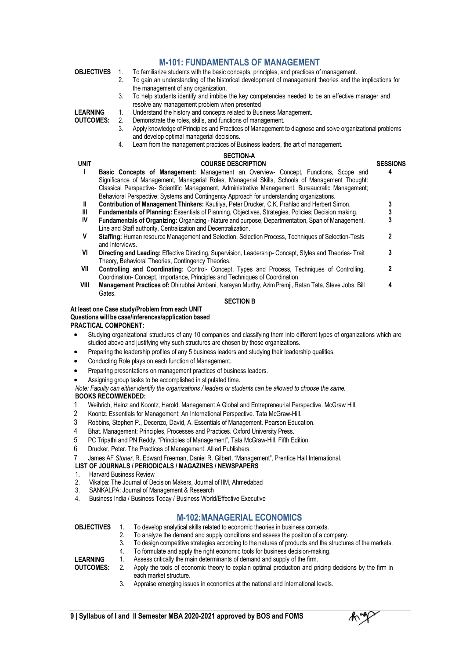|                   |                 |                                                                                                          | <b>M-101: FUNDAMENTALS OF MANAGEMENT</b>                                                                                                                                                                     |                 |  |  |  |  |
|-------------------|-----------------|----------------------------------------------------------------------------------------------------------|--------------------------------------------------------------------------------------------------------------------------------------------------------------------------------------------------------------|-----------------|--|--|--|--|
| <b>OBJECTIVES</b> |                 | To familiarize students with the basic concepts, principles, and practices of management.<br>$1_{\cdot}$ |                                                                                                                                                                                                              |                 |  |  |  |  |
|                   |                 | $2^{1}$                                                                                                  | To gain an understanding of the historical development of management theories and the implications for                                                                                                       |                 |  |  |  |  |
|                   |                 |                                                                                                          | the management of any organization.                                                                                                                                                                          |                 |  |  |  |  |
|                   |                 | 3.                                                                                                       | To help students identify and imbibe the key competencies needed to be an effective manager and                                                                                                              |                 |  |  |  |  |
| <b>LEARNING</b>   |                 | 1.                                                                                                       | resolve any management problem when presented<br>Understand the history and concepts related to Business Management.                                                                                         |                 |  |  |  |  |
| <b>OUTCOMES:</b>  |                 | 2.                                                                                                       | Demonstrate the roles, skills, and functions of management.                                                                                                                                                  |                 |  |  |  |  |
|                   |                 | 3.                                                                                                       | Apply knowledge of Principles and Practices of Management to diagnose and solve organizational problems                                                                                                      |                 |  |  |  |  |
|                   |                 |                                                                                                          | and develop optimal managerial decisions.                                                                                                                                                                    |                 |  |  |  |  |
|                   |                 | 4.                                                                                                       | Learn from the management practices of Business leaders, the art of management.                                                                                                                              |                 |  |  |  |  |
|                   |                 |                                                                                                          | <b>SECTION-A</b>                                                                                                                                                                                             |                 |  |  |  |  |
| <b>UNIT</b>       |                 |                                                                                                          | <b>COURSE DESCRIPTION</b>                                                                                                                                                                                    | <b>SESSIONS</b> |  |  |  |  |
| L                 |                 |                                                                                                          | Basic Concepts of Management: Management an Overview- Concept, Functions, Scope and                                                                                                                          | 4               |  |  |  |  |
|                   |                 |                                                                                                          | Significance of Management, Managerial Roles, Managerial Skills, Schools of Management Thought:                                                                                                              |                 |  |  |  |  |
|                   |                 |                                                                                                          | Classical Perspective- Scientific Management, Administrative Management, Bureaucratic Management;                                                                                                            |                 |  |  |  |  |
| Ш                 |                 |                                                                                                          | Behavioral Perspective; Systems and Contingency Approach for understanding organizations.                                                                                                                    |                 |  |  |  |  |
| Ш                 |                 |                                                                                                          | Contribution of Management Thinkers: Kautilya, Peter Drucker, C.K. Prahlad and Herbert Simon.<br><b>Fundamentals of Planning:</b> Essentials of Planning, Objectives, Strategies, Policies; Decision making. | 3               |  |  |  |  |
| IV                |                 |                                                                                                          | Fundamentals of Organizing: Organizing - Nature and purpose, Departmentation, Span of Management,                                                                                                            | $\frac{3}{3}$   |  |  |  |  |
|                   |                 |                                                                                                          | Line and Staff authority, Centralization and Decentralization.                                                                                                                                               |                 |  |  |  |  |
| ۷                 |                 |                                                                                                          | Staffing: Human resource Management and Selection, Selection Process, Techniques of Selection-Tests                                                                                                          | 2               |  |  |  |  |
|                   | and Interviews. |                                                                                                          |                                                                                                                                                                                                              |                 |  |  |  |  |
| VI                |                 |                                                                                                          | Directing and Leading: Effective Directing, Supervision, Leadership-Concept, Styles and Theories-Trait                                                                                                       | 3               |  |  |  |  |
|                   |                 |                                                                                                          | Theory, Behavioral Theories, Contingency Theories.                                                                                                                                                           |                 |  |  |  |  |
| VII               |                 |                                                                                                          | Controlling and Coordinating: Control- Concept, Types and Process, Techniques of Controlling.                                                                                                                | 2               |  |  |  |  |
|                   |                 |                                                                                                          | Coordination-Concept, Importance, Principles and Techniques of Coordination.                                                                                                                                 |                 |  |  |  |  |
| VIII              |                 |                                                                                                          | Management Practices of: Dhirubhai Ambani, Narayan Murthy, Azim Premji, Ratan Tata, Steve Jobs, Bill                                                                                                         | 4               |  |  |  |  |

**SECTION B**

#### **At least one Case study/Problem from each UNIT Questionswill be case/inferences/application based**

#### **PRACTICAL COMPONENT:**

Gates.

- Studying organizational structures of any 10 companies and classifying them into different types of organizations which are studied above and justifying why such structures are chosen by those organizations.
- Preparing the leadership profiles of any 5 business leaders and studying their leadership qualities.
- Conducting Role plays on each function of Management.
- Preparing presentations on management practices of business leaders.
- Assigning group tasks to be accomplished in stipulated time.

*Note: Faculty can either identify the organizations / leaders or students can be allowed to choose the same.*

#### **BOOKS RECOMMENDED:**

- 1 Weihrich, Heinz and Koontz, Harold. Management A Global and Entrepreneurial Perspective. McGraw Hill.
- 2 Koontz. Essentials for Management: An International Perspective. Tata McGraw-Hill.
- 3 Robbins, Stephen P., Decenzo, David, A. Essentials of Management. Pearson Education.
- 4 Bhat. Management: Principles, Processes and Practices. Oxford University Press.<br>5 PC Tripathi and PN Reddy. "Principles of Management". Tata McGraw-Hill. Fifth E
- 5 PC Tripathi and PN Reddy, "Principles of Management", Tata McGraw-Hill, Fifth Edition.<br>6 Drucker. Peter. The Practices of Management. Allied Publishers.
- Drucker, Peter. The Practices of Management. Allied Publishers.
- James AF *Stoner*, R. Edward Freeman, Daniel R. Gilbert, "Management", Prentice Hall International.

#### **LIST OF JOURNALS / PERIODICALS / MAGAZINES / NEWSPAPERS**

1. Harvard Business Review

**LEARNING**

- 2. Vikalpa: The Journal of Decision Makers, Journal of IIM, Ahmedabad
- 3. SANKALPA: Journal of Management & Research
- 4. Business India / Business Today / Business World/Effective Executive

#### **M-102:MANAGERIAL ECONOMICS**

**OBJECTIVES** 1. To develop analytical skills related to economic theories in business contexts.

- 2. To analyze the demand and supply conditions and assess the position of a company.<br>3. To design competitive strategies according to the natures of products and the structure
- To design competitive strategies according to the natures of products and the structures of the markets.
- 4. To formulate and apply the right economic tools for business decision-making.
- 1. Assess critically the main determinants of demand and supply of the firm.

3. Appraise emerging issues in economics at the national and international levels.

y

**OUTCOMES:** 2. Apply the tools of economic theory to explain optimal production and pricing decisions by the firm in each market structure.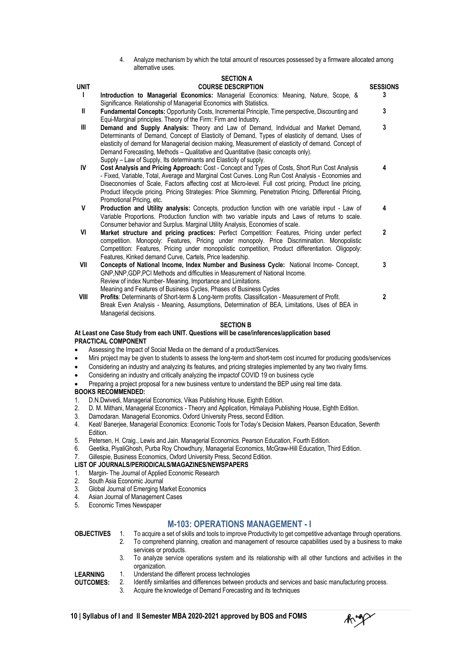4. Analyze mechanism by which the total amount of resources possessed by a firmware allocated among alternative uses.

#### **SECTION A**

| <b>UNIT</b> | <b>COURSE DESCRIPTION</b>                                                                                                                                                                                                                                                                                                                                                                                                                                 | <b>SESSIONS</b> |
|-------------|-----------------------------------------------------------------------------------------------------------------------------------------------------------------------------------------------------------------------------------------------------------------------------------------------------------------------------------------------------------------------------------------------------------------------------------------------------------|-----------------|
| L           | Introduction to Managerial Economics: Managerial Economics: Meaning, Nature, Scope, &<br>Significance. Relationship of Managerial Economics with Statistics.                                                                                                                                                                                                                                                                                              | 3               |
| Ш           | <b>Fundamental Concepts:</b> Opportunity Costs, Incremental Principle, Time perspective, Discounting and<br>Equi-Marginal principles. Theory of the Firm: Firm and Industry.                                                                                                                                                                                                                                                                              | 3               |
| III         | Demand and Supply Analysis: Theory and Law of Demand, Individual and Market Demand,<br>Determinants of Demand, Concept of Elasticity of Demand, Types of elasticity of demand, Uses of<br>elasticity of demand for Managerial decision making, Measurement of elasticity of demand. Concept of<br>Demand Forecasting, Methods - Qualitative and Quantitative (basic concepts only).<br>Supply – Law of Supply, Its determinants and Elasticity of supply. | 3               |
| IV          | Cost Analysis and Pricing Approach: Cost - Concept and Types of Costs, Short Run Cost Analysis<br>- Fixed, Variable, Total, Average and Marginal Cost Curves. Long Run Cost Analysis - Economies and<br>Diseconomies of Scale, Factors affecting cost at Micro-level. Full cost pricing, Product line pricing,<br>Product lifecycle pricing. Pricing Strategies: Price Skimming, Penetration Pricing, Differential Pricing,<br>Promotional Pricing, etc.  | 4               |
| V           | Production and Utility analysis: Concepts, production function with one variable input - Law of<br>Variable Proportions. Production function with two variable inputs and Laws of returns to scale.<br>Consumer behavior and Surplus. Marginal Utility Analysis, Economies of scale.                                                                                                                                                                      | 4               |
| VI          | Market structure and pricing practices: Perfect Competition: Features, Pricing under perfect<br>competition. Monopoly: Features, Pricing under monopoly. Price Discrimination. Monopolistic<br>Competition: Features, Pricing under monopolistic competition, Product differentiation. Oligopoly:<br>Features, Kinked demand Curve, Cartels, Price leadership.                                                                                            | $\mathbf{2}$    |
| VII         | Concepts of National Income, Index Number and Business Cycle: National Income- Concept,<br>GNP.NNP.GDP.PCI Methods and difficulties in Measurement of National Income.<br>Review of index Number-Meaning, Importance and Limitations.<br>Meaning and Features of Business Cycles, Phases of Business Cycles                                                                                                                                               | 3               |
| VIII        | Profits: Determinants of Short-term & Long-term profits. Classification - Measurement of Profit.<br>Break Even Analysis - Meaning, Assumptions, Determination of BEA, Limitations, Uses of BEA in<br>Managerial decisions.                                                                                                                                                                                                                                | $\mathfrak z$   |
|             | <b>SECTION B</b>                                                                                                                                                                                                                                                                                                                                                                                                                                          |                 |

#### **At Least one Case Study from each UNIT. Questions will be case/inferences/application based PRACTICAL COMPONENT**

- Assessing the Impact of Social Media on the demand of a product/Services.
- Mini project may be given to students to assess the long-term and short-term cost incurred for producing goods/services
- Considering an industry and analyzing its features, and pricing strategies implemented by any two rivalry firms.
- Considering an industry and critically analyzing the impactof COVID 19 on business cycle
- Preparing a project proposal for a new business venture to understand the BEP using real time data.

#### **BOOKS RECOMMENDED:**

- 1. D.N.Dwivedi, Managerial Economics, Vikas Publishing House, Eighth Edition.
- 2. D. M. Mithani, Managerial Economics Theory and Application, Himalaya Publishing House, Eighth Edition.
- 3. Damodaran. Managerial Economics. Oxford University Press, second Edition.
- Keat/ Banerjee, Managerial Economics: Economic Tools for Today's Decision Makers, Pearson Education, Seventh Edition.
- 5. Petersen, H. Craig., Lewis and Jain. Managerial Economics. Pearson Education, Fourth Edition.
- 6. Geetika, PiyaliGhosh, Purba Roy Chowdhury, Managerial Economics, McGraw-Hill Education, Third Edition.

#### 7. Gillespie, Business Economics, Oxford University Press, Second Edition.

- **LIST OF JOURNALS/PERIODICALS/MAGAZINES/NEWSPAPERS**
- 1. Margin- The Journal of Applied Economic Research
- 2. South Asia Economic Journal
- 3. Global Journal of Emerging Market Economics
- 4. Asian Journal of Management Cases
- 5. Economic Times Newspaper

#### **M-103: OPERATIONS MANAGEMENT - I**

- **OBJECTIVES** 1. To acquire a set of skills and tools to improve Productivity to get competitive advantage through operations. 2. To comprehend planning, creation and management of resource capabilities used by a business to make
	- services or products.
	- 3. To analyze service operations system and its relationship with all other functions and activities in the organization.
- **LEARNING** 1. Understand the different process technologies

**OUTCOMES:** 2. Identify similarities and differences between products and services and basic manufacturing process.

3. Acquire the knowledge of Demand Forecasting and its techniques

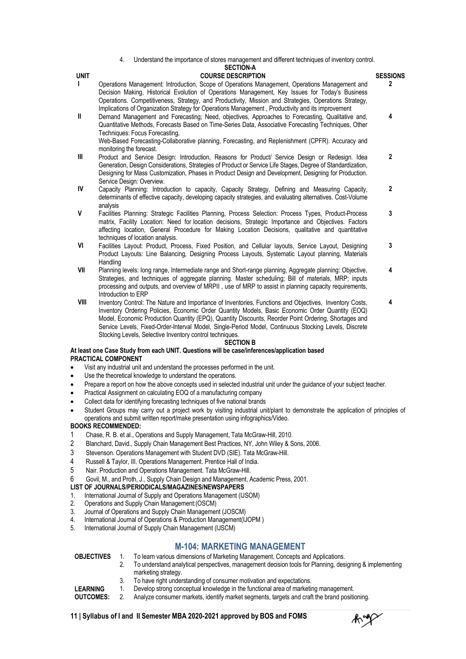4. Understand the importance of stores management and different techniques of inventory control.

|              | 4.<br>Understand the importance of stores management and different techniques of inventory control.<br><b>SECTION-A</b>                                                                                                                                                                                                                                                                                         |                 |
|--------------|-----------------------------------------------------------------------------------------------------------------------------------------------------------------------------------------------------------------------------------------------------------------------------------------------------------------------------------------------------------------------------------------------------------------|-----------------|
| <b>UNIT</b>  | <b>COURSE DESCRIPTION</b>                                                                                                                                                                                                                                                                                                                                                                                       | <b>SESSIONS</b> |
| L            | Operations Management: Introduction, Scope of Operations Management, Operations Management and<br>Decision Making, Historical Evolution of Operations Management, Key Issues for Today's Business<br>Operations. Competitiveness, Strategy, and Productivity, Mission and Strategies, Operations Strategy,<br>Implications of Organization Strategy for Operations Management, Productivity and its improvement | $\overline{2}$  |
| $\mathbf{I}$ | Demand Management and Forecasting; Need, objectives, Approaches to Forecasting, Qualitative and,<br>Quantitative Methods, Forecasts Based on Time-Series Data, Associative Forecasting Techniques, Other<br>Techniques: Focus Forecasting,                                                                                                                                                                      | 4               |
|              | Web-Based Forecasting-Collaborative planning, Forecasting, and Replenishment (CPFR). Accuracy and<br>monitoring the forecast.                                                                                                                                                                                                                                                                                   |                 |
| Ш            | Product and Service Design: Introduction, Reasons for Product/ Service Design or Redesign. Idea<br>Generation, Design Considerations, Strategies of Product or Service Life Stages, Degree of Standardization,<br>Designing for Mass Customization, Phases in Product Design and Development, Designing for Production.<br>Service Design: Overview.                                                            | $\mathbf{2}$    |
| IV           | Capacity Planning: Introduction to capacity, Capacity Strategy, Defining and Measuring Capacity,<br>determinants of effective capacity, developing capacity strategies, and evaluating alternatives. Cost-Volume<br>analysis                                                                                                                                                                                    | $\mathbf 2$     |
| $\mathsf{V}$ | Facilities Planning: Strategic Facilities Planning, Process Selection: Process Types, Product-Process<br>matrix, Facility Location: Need for location decisions, Strategic Importance and Objectives. Factors<br>affecting location, General Procedure for Making Location Decisions, qualitative and quantitative<br>techniques of location analysis.                                                          | 3               |
| VI           | Facilities Layout: Product, Process, Fixed Position, and Cellular layouts, Service Layout, Designing<br>Product Layouts: Line Balancing, Designing Process Layouts, Systematic Layout planning, Materials<br>Handling                                                                                                                                                                                           | 3               |
| VII          | Planning levels: long range, Intermediate range and Short-range planning, Aggregate planning: Objective,<br>Strategies, and techniques of aggregate planning. Master scheduling; Bill of materials, MRP; inputs<br>processing and outputs, and overview of MRPII, use of MRP to assist in planning capacity requirements,<br>Introduction to ERP                                                                | 4               |
| VIII         | Inventory Control: The Nature and Importance of Inventories, Functions and Objectives, Inventory Costs,                                                                                                                                                                                                                                                                                                         | 4               |

**VIII** Inventory Control: The Nature and Importance of Inventories, Functions and Objectives, Inventory Costs, Inventory Ordering Policies, Economic Order Quantity Models, Basic Economic Order Quantity (EOQ) Model, Economic Production Quantity (EPQ), Quantity Discounts, Reorder Point Ordering, Shortages and Service Levels, Fixed-Order-Interval Model, Single-Period Model, Continuous Stocking Levels, Discrete Stocking Levels, Selective Inventory control techniques.

#### **SECTION B**

#### **At least one Case Study from each UNIT. Questions will be case/inferences/application based PRACTICAL COMPONENT**

- Visit any industrial unit and understand the processes performed in the unit.
- Use the theoretical knowledge to understand the operations.
- Prepare a report on how the above concepts used in selected industrial unit under the guidance of your subject teacher.
- Practical Assignment on calculating EOQ of a manufacturing company
- Collect data for identifying forecasting techniques of five national brands
- Student Groups may carry out a project work by visiting industrial unit/plant to demonstrate the application of principles of operations and submit written report/make presentation using infographics/Video.

#### **BOOKS RECOMMENDED:**

- 1 Chase, R. B. et al., Operations and Supply Management, Tata McGraw-Hill, 2010.
- 2 Blanchard, David., Supply Chain Management Best Practices, NY, John Wiley & Sons, 2006.
- 3 Stevenson. Operations Management with Student DVD (SIE). Tata McGraw-Hill.
- 4 Russell & Taylor, III. Operations Management. Prentice Hall of India.
- 5 Nair. Production and Operations Management. Tata McGraw-Hill.
- 6 Govil, M., and Proth, J., Supply Chain Design and Management, Academic Press, 2001.

#### **LIST OF JOURNALS/PERIODICALS/MAGAZINES/NEWSPAPERS**

- 1. International Journal of Supply and Operations Management (IJSOM)<br>2. Operations and Supply Chain Management: (OSCM)
- 2. Operations and Supply Chain Management:(OSCM)
- 3. Journal of Operations and Supply Chain Management (JOSCM)
- 4. International Journal of Operations & Production Management(IJOPM )
- 5. International Journal of Supply Chain Management (IJSCM)

#### **M-104: MARKETING MANAGEMENT**

**OBJECTIVES** 1. To learn various dimensions of Marketing Management, Concepts and Applications.

- 2. To understand analytical perspectives, management decision tools for Planning, designing & implementing marketing strategy.
- 3. To have right understanding of consumer motivation and expectations.
- **LEARNING** 1. Develop strong conceptual knowledge in the functional area of marketing management.
- **OUTCOMES:** 2. Analyze consumer markets, identify market segments, targets and craft the brand positioning.

 $\mathcal{N}$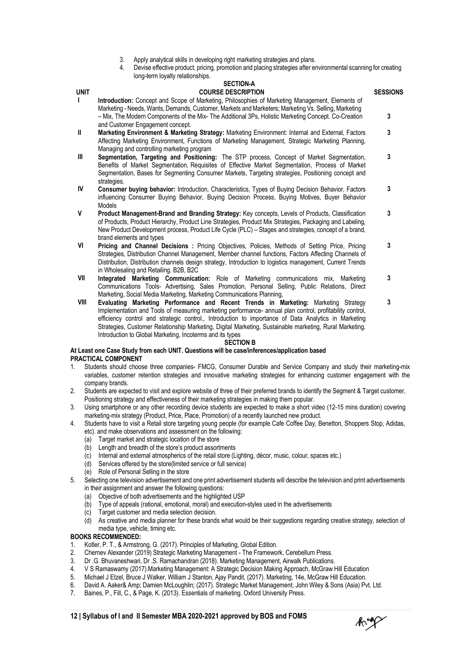- 3. Apply analytical skills in developing right marketing strategies and plans.
- 4. Devise effective product, pricing, promotion and placing strategies after environmental scanning for creating long-term loyalty relationships.

|              | <b>SECTION-A</b>                                                                                                                                                                                                                                                                                                                                   |                 |
|--------------|----------------------------------------------------------------------------------------------------------------------------------------------------------------------------------------------------------------------------------------------------------------------------------------------------------------------------------------------------|-----------------|
| <b>UNIT</b>  | <b>COURSE DESCRIPTION</b>                                                                                                                                                                                                                                                                                                                          | <b>SESSIONS</b> |
| $\mathbf{L}$ | <b>Introduction:</b> Concept and Scope of Marketing, Philosophies of Marketing Management, Elements of<br>Marketing - Needs, Wants, Demands, Customer, Markets and Marketers; Marketing Vs. Selling, Marketing                                                                                                                                     |                 |
|              | - Mix, The Modern Components of the Mix- The Additional 3Ps, Holistic Marketing Concept. Co-Creation<br>and Customer Engagement concept.                                                                                                                                                                                                           | 3               |
| $\mathbf{I}$ | Marketing Environment & Marketing Strategy: Marketing Environment: Internal and External, Factors<br>Affecting Marketing Environment, Functions of Marketing Management, Strategic Marketing Planning,<br>Managing and controlling marketing program                                                                                               | 3               |
| Ш            | Segmentation, Targeting and Positioning: The STP process, Concept of Market Segmentation,<br>Benefits of Market Segmentation, Requisites of Effective Market Segmentation, Process of Market<br>Segmentation, Bases for Segmenting Consumer Markets, Targeting strategies, Positioning concept and<br>strategies.                                  | 3               |
| IV           | <b>Consumer buying behavior:</b> Introduction, Characteristics, Types of Buying Decision Behavior, Factors<br>influencing Consumer Buying Behavior, Buying Decision Process, Buying Motives, Buyer Behavior<br><b>Models</b>                                                                                                                       | 3               |
| V            | Product Management-Brand and Branding Strategy: Key concepts, Levels of Products, Classification<br>of Products, Product Hierarchy, Product Line Strategies, Product Mix Strategies, Packaging and Labeling,<br>New Product Development process, Product Life Cycle (PLC) – Stages and strategies, concept of a brand,<br>brand elements and types | 3               |
| VI           | <b>Pricing and Channel Decisions · Pricing Objectives Policies Methods of Setting Price Pricing</b>                                                                                                                                                                                                                                                |                 |

- **VI Pricing and Channel Decisions :** Pricing Objectives, Policies, Methods of Setting Price, Pricing Strategies, Distribution Channel Management, Member channel functions, Factors Affecting Channels of Distribution, Distribution channels design strategy, Introduction to logistics management, Current Trends in Wholesaling and Retailing. B2B, B2C
- **VII Integrated Marketing Communication:** Role of Marketing communications mix, Marketing Communications Tools- Advertising, Sales Promotion, Personal Selling, Public Relations, Direct Marketing, Social Media Marketing, Marketing Communications Planning, **3 3**
- **VIII Evaluating Marketing Performance and Recent Trends in Marketing:** Marketing Strategy Implementation and Tools of measuring marketing performance- annual plan control, profitability control, efficiency control and strategic control., Introduction to importance of Data Analytics in Marketing Strategies, Customer Relationship Marketing, Digital Marketing, Sustainable marketing, Rural Marketing. Introduction to Global Marketing, Incoterms and its types

#### **SECTION B**

#### **At Least one Case Study from each UNIT. Questions will be case/inferences/application based PRACTICAL COMPONENT**

- 1. Students should choose three companies- FMCG, Consumer Durable and Service Company and study their marketing-mix variables, customer retention strategies and innovative marketing strategies for enhancing customer engagement with the company brands.
- 2. Students are expected to visit and explore website of three of their preferred brands to identify the Segment & Target customer, Positioning strategy and effectiveness of their marketing strategies in making them popular.
- 3. Using smartphone or any other recording device students are expected to make a short video (12-15 mins duration) covering marketing-mix strategy (Product, Price, Place, Promotion) of a recently launched new product.
- 4. Students have to visit a Retail store targeting young people (for example Cafe Coffee Day, Benetton, Shoppers Stop, Adidas, etc). and make observations and assessment on the following:
	- (a) Target market and strategic location of the store
	- (b) Length and breadth of the store's product assortments
	- (c) Internal and external atmospherics of the retail store (Lighting, décor, music, colour, spaces etc.)
	- (d) Services offered by the store(limited service or full service)
	- (e) Role of Personal Selling in the store
- 5. Selecting one television advertisement and one print advertisement students will describe the television and print advertisements in their assignment and answer the following questions:
	- (a) Objective of both advertisements and the highlighted USP
	- (b) Type of appeals (rational, emotional, moral) and execution-styles used in the advertisements
	- (c) Target customer and media selection decision.
	- (d) As creative and media planner for these brands what would be their suggestions regarding creative strategy, selection of media type, vehicle, timing etc.

#### **BOOKS RECOMMENDED:**

- 1. Kotler, P. T., & Armstrong, G. (2017). Principles of Marketing, Global Edition.
- 2. Chernev Alexander (2019) Strategic Marketing Management The Framework, Cerebellum Press.
- 3. Dr .G. Bhuvaneshwari, Dr .S. Ramachandran (2018). Marketing Management, Airwalk Publications.
- 4. V S Ramaswamy (2017).Marketing Management: A Strategic Decision Making Approach, McGraw Hill Education
- 5. Michael J Etzel, Bruce J Walker, William J Stanton, Ajay Pandit, (2017). Marketing, 14e, McGraw Hill Education.<br>6. David A. Aaker& Amp: Damien McLoughlin; (2017). Strategic Market Management; John Wiley & Sons (Asia) Pv
- 6. David A. Aaker& Amp; Damien McLoughlin; (2017). Strategic Market Management; John Wiley & Sons (Asia) Pvt. Ltd.
- 7. Baines, P., Fill, C., & Page, K. (2013). Essentials of marketing. Oxford University Press.

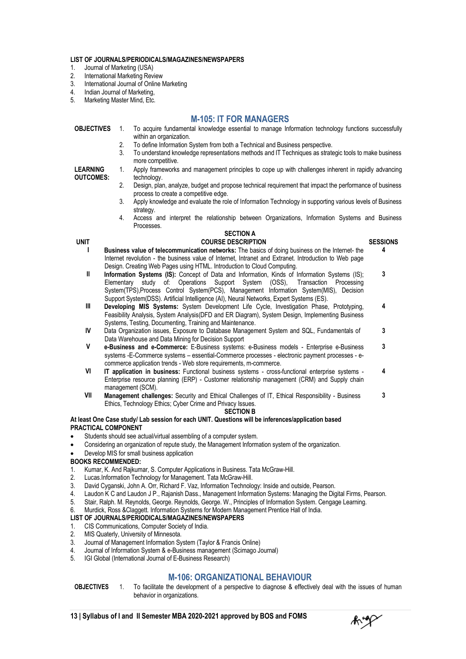#### **LIST OF JOURNALS/PERIODICALS/MAGAZINES/NEWSPAPERS**

- 1. Journal of Marketing (USA)<br>2. International Marketing Rev
- 2. International Marketing Review<br>3. International Journal of Online
- 3. International Journal of Online Marketing<br>4. Indian Journal of Marketing.
- 4. Indian Journal of Marketing,<br>5. Marketing Master Mind. Fre
- Marketing Master Mind, Etc.

#### **M-105: IT FOR MANAGERS**

| <b>OBJECTIVES</b> | To acquire fundamental knowledge essential to manage Information technology functions successfully<br>within an organization. |
|-------------------|-------------------------------------------------------------------------------------------------------------------------------|
|                   | To define Information System from both a Technical and Business perspective.                                                  |
|                   | To understand knowledge representations methods and IT Techniques as strategic tools to make business<br>more competitive.    |
| <b>LEARNING</b>   | Apply frameworks and management principles to cope up with challenges inherent in rapidly advancing                           |

**LEARNING OUTCOMES:**

- technology. 2. Design, plan, analyze, budget and propose technical requirement that impact the performance of business process to create a competitive edge.
- 3. Apply knowledge and evaluate the role of Information Technology in supporting various levels of Business strategy.
- 4. Access and interpret the relationship between Organizations, Information Systems and Business Processes.

#### **SECTION A UNIT COURSE DESCRIPTION SESSIONS**

**4**

**4**

- **I Business value of telecommunication networks:** The basics of doing business on the Internet- the Internet revolution - the business value of Internet, Intranet and Extranet. Introduction to Web page Design. Creating Web Pages using HTML. Introduction to Cloud Computing.
- **II Information Systems (IS):** Concept of Data and Information, Kinds of Information Systems (IS); Elementary study of: Operations Support System (OSS), Transaction Processing System(TPS),Process Control System(PCS), Management Information System(MIS), Decision Support System(DSS). Artificial Intelligence (AI), Neural Networks, Expert Systems (ES). **3**
- **III Developing MIS Systems:** System Development Life Cycle, Investigation Phase, Prototyping, Feasibility Analysis, System Analysis(DFD and ER Diagram), System Design, Implementing Business Systems, Testing, Documenting, Training and Maintenance. **4**
- **IV** Data Organization issues, Exposure to Database Management System and SQL, Fundamentals of Data Warehouse and Data Mining for Decision Support **3**
- **V e-Business and e-Commerce:** E-Business systems: e-Business models Enterprise e-Business systems -E-Commerce systems – essential-Commerce processes - electronic payment processes - ecommerce application trends - Web store requirements, m-commerce. **3**
- **VI IT application in business:** Functional business systems cross-functional enterprise systems Enterprise resource planning (ERP) - Customer relationship management (CRM) and Supply chain management (SCM).
- **VII Management challenges:** Security and Ethical Challenges of IT, Ethical Responsibility Business Ethics, Technology Ethics; Cyber Crime and Privacy Issues. **3**

#### **SECTION B**

#### **At least One Case study/ Lab session for each UNIT. Questions will be inferences/application based PRACTICAL COMPONENT**

- Students should see actual/virtual assembling of a computer system.
- Considering an organization of repute study, the Management Information system of the organization.
- Develop MIS for small business application

#### **BOOKS RECOMMENDED:**

- 1. Kumar, K. And Rajkumar, S. Computer Applications in Business. Tata McGraw-Hill.
- 2. Lucas.Information Technology for Management. Tata McGraw-Hill.
- 3. David Cyganski, John A. Orr, Richard F. Vaz, Information Technology: Inside and outside, Pearson.<br>4. Laudon K C and Laudon J P.. Raianish Dass., Management Information Systems: Managing the Dig
- 4. Laudon K C and Laudon J P., Rajanish Dass., Management Information Systems: Managing the Digital Firms, Pearson.
- 5. Stair, Ralph. M. Reynolds, George. Reynolds, George. W., Principles of Information System. Cengage Learning.<br>6. Murdick Ross & Claggett, Information Systems for Modern Management Prentice Hall of India
- Murdick, Ross &Claggett. Information Systems for Modern Management Prentice Hall of India.

#### **LIST OF JOURNALS/PERIODICALS/MAGAZINES/NEWSPAPERS**

- 1. CIS Communications, Computer Society of India.<br>2. MIS Quaterly, University of Minnesota.
- 2. MIS Quaterly, University of Minnesota.<br>3. Journal of Management Information Sy
- 3. Journal of Management Information System (Taylor & Francis Online)
- 4. Journal of Information System & e-Business management (Scimago Journal)
- 5. IGI Global (International Journal of E-Business Research)

#### **M-106: ORGANIZATIONAL BEHAVIOUR**

**OBJECTIVES** 1. To facilitate the development of a perspective to diagnose & effectively deal with the issues of human behavior in organizations.

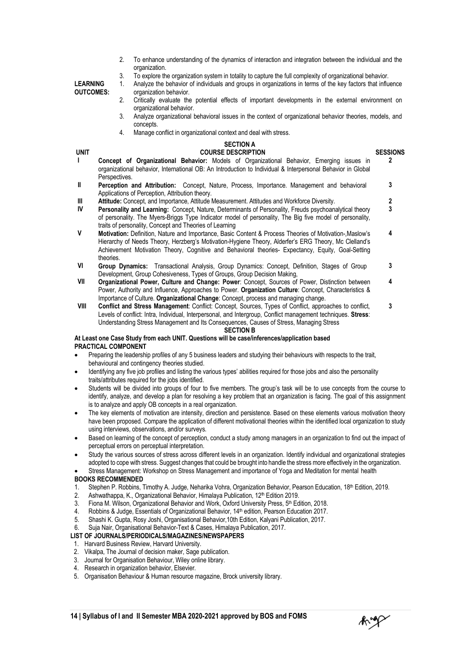- 2. To enhance understanding of the dynamics of interaction and integration between the individual and the organization.
- 3. To explore the organization system in totality to capture the full complexity of organizational behavior.<br>1. Analyze the behavior of individuals and groups in organizations in terms of the key factors that influ

**LEARNING OUTCOMES:**

organization behavior. 2. Critically evaluate the potential effects of important developments in the external environment on organizational behavior.

1. Analyze the behavior of individuals and groups in organizations in terms of the key factors that influence

- 3. Analyze organizational behavioral issues in the context of organizational behavior theories, models, and concepts.
- 4. Manage conflict in organizational context and deal with stress.

#### **SECTION A**

- **UNIT COURSE DESCRIPTION SESSIONS I Concept of Organizational Behavior:** Models of Organizational Behavior, Emerging issues in organizational behavior, International OB: An Introduction to Individual & Interpersonal Behavior in Global Perspectives. **2**
- **II Perception and Attribution:** Concept, Nature, Process, Importance. Management and behavioral Applications of Perception, Attribution theory. **3**
- **III Attitude:** Concept, and Importance, Attitude Measurement. Attitudes and Workforce Diversity. **2**<br>**IV Dersonality and Learning:** Concept Nature Determinants of Personality Freuds psychoanalytical theory **3**
- **Personality and Learning: Concept, Nature, Determinants of Personality, Freuds psychoanalytical theory** of personality. The Myers-Briggs Type Indicator model of personality, The Big five model of personality, traits of personality, Concept and Theories of Learning **3**
- **V Motivation:** Definition, Nature and Importance, Basic Content & Process Theories of Motivation-,Maslow's Hierarchy of Needs Theory, Herzberg's Motivation-Hygiene Theory, Alderfer's ERG Theory, Mc Clelland's Achievement Motivation Theory, Cognitive and Behavioral theories- Expectancy, Equity, Goal-Setting theories. **4**
- **VI Group Dynamics:** Transactional Analysis, Group Dynamics: Concept, Definition, Stages of Group Development, Group Cohesiveness, Types of Groups, Group Decision Making, **3**
- **VII Organizational Power, Culture and Change: Power**: Concept, Sources of Power, Distinction between Power, Authority and Influence, Approaches to Power. **Organization Culture**: Concept, Characteristics & Importance of Culture. **Organizational Change**: Concept, process and managing change. **4**
- **VIII Conflict and Stress Management**: Conflict: Concept, Sources, Types of Conflict, approaches to conflict, Levels of conflict: Intra, Individual, Interpersonal, and Intergroup, Conflict management techniques. **Stress**: Understanding Stress Management and Its Consequences, Causes of Stress, Managing Stress **3 SECTION B**

#### **At Least one Case Study from each UNIT. Questions will be case/inferences/application based PRACTICAL COMPONENT**

- Preparing the leadership profiles of any 5 business leaders and studying their behaviours with respects to the trait, behavioural and contingency theories studied.
- Identifying any five job profiles and listing the various types' abilities required for those jobs and also the personality traits/attributes required for the jobs identified.
- Students will be divided into groups of four to five members. The group's task will be to use concepts from the course to identify, analyze, and develop a plan for resolving a key problem that an organization is facing. The goal of this assignment is to analyze and apply OB concepts in a real organization.
- The key elements of motivation are intensity, direction and persistence. Based on these elements various motivation theory have been proposed. Compare the application of different motivational theories within the identified local organization to study using interviews, observations, and/or surveys.
- Based on learning of the concept of perception, conduct a study among managers in an organization to find out the impact of perceptual errors on perceptual interpretation.
- Study the various sources of stress across different levels in an organization. Identify individual and organizational strategies adopted to cope with stress. Suggest changes that could be brought into handle the stress more effectively in the organization.
- Stress Management: Workshop on Stress Management and importance of Yoga and Meditation for mental health

#### **BOOKS RECOMMENDED**

- 1. Stephen P. Robbins, Timothy A. Judge, Neharika Vohra, Organization Behavior, Pearson Education, 18<sup>th</sup> Edition, 2019.<br>2. Ashwathanna, K. Organizational Behavior, Himalaya Publication, 12<sup>th</sup> Edition 2019.
- 2. Ashwathappa, K., Organizational Behavior, Himalaya Publication,  $12<sup>th</sup>$  Edition 2019.<br>3. Fiona M. Wilson. Organizational Behavior and Work, Oxford University Press,  $5<sup>th</sup>$  Ed
- Fiona M. Wilson, Organizational Behavior and Work, Oxford University Press, 5th Edition, 2018.
- 4. Robbins & Judge, Essentials of Organizational Behavior, 14<sup>th</sup> edition, Pearson Education 2017.<br>5. Shashi K. Gunta, Rosy Joshi, Organisational Behavior 10th Edition, Kalvani Publication, 2017.
- 5. Shashi K. Gupta, Rosy Joshi, Organisational Behavior,10th Edition, Kalyani Publication, 2017.
- 6. Suja Nair, Organisational Behavior-Text & Cases, Himalaya Publication, 2017.

#### **LIST OF JOURNALS/PERIODICALS/MAGAZINES/NEWSPAPERS**

- 1. Harvard Business Review, Harvard University.
- 2. Vikalpa, The Journal of decision maker, Sage publication.
- 3. Journal for Organisation Behaviour, Wiley online library.
- 4. Research in organization behavior, Elsevier.
- 5. Organisation Behaviour & Human resource magazine, Brock university library.

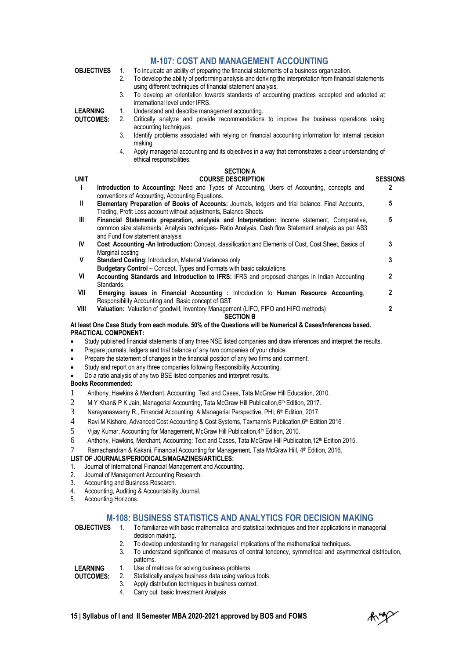#### **M-107: COST AND MANAGEMENT ACCOUNTING SECTION B At least One Case Study from each module. 50% of the Questions will be Numerical & Cases/Inferences based. OBJECTIVES** 1. To inculcate an ability of preparing the financial statements of a business organization.<br>2. To develop the ability of performing analysis and deriving the interpretation from financial To develop the ability of performing analysis and deriving the interpretation from financial statements using different techniques of financial statement analysis. 3. To develop an orientation towards standards of accounting practices accepted and adopted at international level under IFRS. **LEARNING OUTCOMES:** 1. Understand and describe management accounting.<br>2. Critically analyze and provide recommendations Critically analyze and provide recommendations to improve the business operations using accounting techniques. 3. Identify problems associated with relying on financial accounting information for internal decision making. 4. Apply managerial accounting and its objectives in a way that demonstrates a clear understanding of ethical responsibilities. **SECTION A UNIT COURSE DESCRIPTION SESSIONS** Introduction to Accounting: Need and Types of Accounting, Users of Accounting, concepts and conventions of Accounting, Accounting Equations. **2 II Elementary Preparation of Books of Accounts:** Journals, ledgers and trial balance. Final Accounts, Trading, Profit Loss account without adjustments, Balance Sheets **5 III Financial Statements preparation, analysis and Interpretation:** Income statement, Comparative, common size statements, Analysis techniques- Ratio Analysis, Cash flow Statement analysis as per AS3 and Fund flow statement analysis **5 IV Cost Accounting -An Introduction:** Concept, classification and Elements of Cost, Cost Sheet, Basics of Marginal costing **3 Standard Costing: Introduction, Material Variances only Budgetary Control** – Concept, Types and Formats with basic calculations **3 VI Accounting Standards and Introduction to IFRS:** IFRS and proposed changes in Indian Accounting Standards. **2 VII Emerging issues in Financial Accounting :** Introduction to **Human Resource Accounting**, Responsibility Accounting and Basic concept of GST **2 VIII Valuation:** Valuation of goodwill, Inventory Management (LIFO, FIFO and HIFO methods) **2**

### **PRACTICAL COMPONENT:**

Study published financial statements of any three NSE listed companies and draw inferences and interpret the results.

- Prepare journals, ledgers and trial balance of any two companies of your choice.
- Prepare the statement of changes in the financial position of any two firms and comment.
- Study and report on any three companies following Responsibility Accounting.
- Do a ratio analysis of any two BSE listed companies and interpret results.

#### **Books Recommended:**

- 1 Anthony, Hawkins & Merchant, Accounting: Text and Cases, Tata McGraw Hill Education, 2010.
- 2 M Y Khan& P K Jain, Managerial Accounting, Tata McGraw Hill Publication,  $6<sup>th</sup>$  Edition, 2017.
- 3 Narayanaswamy R., Financial Accounting: A Managerial Perspective, PHI, 6<sup>th</sup> Edition, 2017.
- 4 Ravi M Kishore, Advanced Cost Accounting & Cost Systems, Taxmann's Publication,6th Edition 2016 .
- $5$  Vijay Kumar, Accounting for Management, McGraw Hill Publication, 4<sup>th</sup> Edition, 2010.<br>6 Anthony, Hawkins, Merchant, Accounting: Text and Cases, Tata McGraw Hill Publica
- Anthony, Hawkins, Merchant, Accounting: Text and Cases, Tata McGraw Hill Publication, 12th Edition 2015.
- 7 Ramachandran & Kakani, Financial Accounting for Management, Tata McGraw Hill, 4<sup>th</sup> Edition, 2016.

#### **LIST OF JOURNALS/PERIODICALS/MAGAZINES/ARTICLES:**

- 1. Journal of International Financial Management and Accounting.
- 2. Journal of Management Accounting Research.<br>3. Accounting and Business Research.
- Accounting and Business Research.
- 4. Accounting, Auditing & Accountability Journal.
- 5. Accounting Horizons.

#### **M-108: BUSINESS STATISTICS AND ANALYTICS FOR DECISION MAKING**

- **OBJECTIVES** 1. To familiarize with basic mathematical and statistical techniques and their applications in managerial decision making.
	- 2. To develop understanding for managerial implications of the mathematical techniques.
	- 3. To understand significance of measures of central tendency, symmetrical and asymmetrical distribution, patterns.

**LEARNING OUTCOMES:**

- 1. Use of matrices for solving business problems.<br>
2. Statistically analyze business data using variou<br>
3. Apply distribution techniques in business conter Statistically analyze business data using various tools.
	- Apply distribution techniques in business context.
		- 4. Carry out basic Investment Analysis

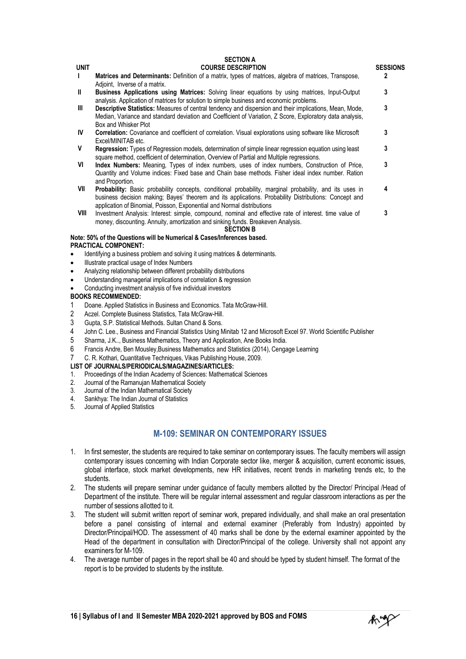|              | <b>SECTION A</b>                                                                                                                                                                                                                                                                                  |                 |
|--------------|---------------------------------------------------------------------------------------------------------------------------------------------------------------------------------------------------------------------------------------------------------------------------------------------------|-----------------|
| <b>UNIT</b>  | <b>COURSE DESCRIPTION</b>                                                                                                                                                                                                                                                                         | <b>SESSIONS</b> |
| $\mathbf{I}$ | <b>Matrices and Determinants:</b> Definition of a matrix, types of matrices, algebra of matrices, Transpose,<br>Adjoint, Inverse of a matrix.                                                                                                                                                     | 2               |
| $\mathbf{I}$ | <b>Business Applications using Matrices:</b> Solving linear equations by using matrices, Input-Output<br>analysis. Application of matrices for solution to simple business and economic problems.                                                                                                 | 3               |
| Ш            | Descriptive Statistics: Measures of central tendency and dispersion and their implications, Mean, Mode,<br>Median, Variance and standard deviation and Coefficient of Variation, Z Score, Exploratory data analysis,<br>Box and Whisker Plot                                                      | 3               |
| IV           | Correlation: Covariance and coefficient of correlation. Visual explorations using software like Microsoft<br>Excel/MINITAB etc.                                                                                                                                                                   | 3               |
| V            | <b>Regression:</b> Types of Regression models, determination of simple linear regression equation using least<br>square method, coefficient of determination, Overview of Partial and Multiple regressions.                                                                                       | 3               |
| VI           | Index Numbers: Meaning, Types of index numbers, uses of index numbers, Construction of Price,<br>Quantity and Volume indices: Fixed base and Chain base methods. Fisher ideal index number. Ration<br>and Proportion.                                                                             | 3               |
| VII          | <b>Probability:</b> Basic probability concepts, conditional probability, marginal probability, and its uses in<br>business decision making; Bayes' theorem and its applications. Probability Distributions: Concept and<br>application of Binomial, Poisson, Exponential and Normal distributions | 4               |
| VIII         | Investment Analysis: Interest: simple, compound, nominal and effective rate of interest, time value of<br>money, discounting. Annuity, amortization and sinking funds. Breakeven Analysis.<br><b>SECTION B</b>                                                                                    | 3               |

#### **Note: 50% of the Questions will be Numerical & Cases/Inferences based. PRACTICAL COMPONENT:**

- Identifying a business problem and solving it using matrices & determinants.
- Illustrate practical usage of Index Numbers
- Analyzing relationship between different probability distributions
- Understanding managerial implications of correlation & regression
- Conducting investment analysis of five individual investors

#### **BOOKS RECOMMENDED:**

- 1 Doane. Applied Statistics in Business and Economics. Tata McGraw-Hill.<br>2 Aczel. Complete Business Statistics. Tata McGraw-Hill.
- 2 Aczel. Complete Business Statistics, Tata McGraw-Hill.<br>3 Gupta. S.P. Statistical Methods. Sultan Chand & Sons.
- Gupta, S.P. Statistical Methods. Sultan Chand & Sons.
- 4 John C. Lee., Business and Financial Statistics Using Minitab 12 and Microsoft Excel 97. World Scientific Publisher
- 5 Sharma, J.K.., Business Mathematics, Theory and Application, Ane Books India.
- 6 Francis Andre, Ben Mousley,Business Mathematics and Statistics (2014), Cengage Learning
- 7 C. R. Kothari, Quantitative Techniques, Vikas Publishing House, 2009.

#### **LIST OF JOURNALS/PERIODICALS/MAGAZINES/ARTICLES:**

- 1. Proceedings of the Indian Academy of Sciences: Mathematical Sciences<br>2. Journal of the Ramanuian Mathematical Society
- 2. Journal of the Ramanujan Mathematical Society
- 3. Journal of the Indian Mathematical Society<br>4. Sankhya: The Indian Journal of Statistics
- Sankhya: The Indian Journal of Statistics
- 5. Journal of Applied Statistics

#### **M-109: SEMINAR ON CONTEMPORARY ISSUES**

- 1. In first semester, the students are required to take seminar on contemporary issues. The faculty members will assign contemporary issues concerning with Indian Corporate sector like, merger & acquisition, current economic issues, global interface, stock market developments, new HR initiatives, recent trends in marketing trends etc, to the students.
- 2. The students will prepare seminar under guidance of faculty members allotted by the Director/ Principal /Head of Department of the institute. There will be regular internal assessment and regular classroom interactions as per the number of sessions allotted to it.
- 3. The student will submit written report of seminar work, prepared individually, and shall make an oral presentation before a panel consisting of internal and external examiner (Preferably from Industry) appointed by Director/Principal/HOD. The assessment of 40 marks shall be done by the external examiner appointed by the Head of the department in consultation with Director/Principal of the college. University shall not appoint any examiners for M-109.
- 4. The average number of pages in the report shall be 40 and should be typed by student himself. The format of the report is to be provided to students by the institute.

**16 | Syllabus of I and II Semester MBA 2020-2021 approved by BOS and FOMS**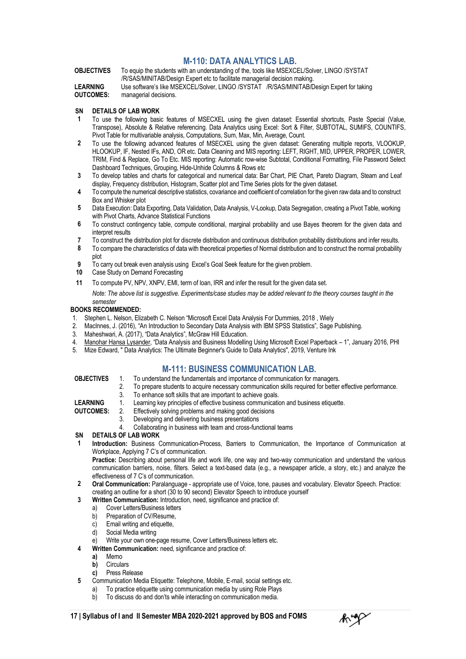#### **M-110: DATA ANALYTICS LAB.**

**OBJECTIVES** To equip the students with an understanding of the, tools like MSEXCEL/Solver, LINGO /SYSTAT /R/SAS/MINITAB/Design Expert etc to facilitate managerial decision making.

**LEARNING OUTCOMES:** Use software's like MSEXCEL/Solver, LINGO /SYSTAT /R/SAS/MINITAB/Design Expert for taking managerial decisions.

#### **SN DETAILS OF LAB WORK**

- **1** To use the following basic features of MSECXEL using the given dataset: Essential shortcuts, Paste Special (Value, Transpose), Absolute & Relative referencing. Data Analytics using Excel: Sort & Filter, SUBTOTAL, SUMIFS, COUNTIFS, Pivot Table for multivariable analysis, Computations, Sum, Max, Min, Average, Count.
- **2** To use the following advanced features of MSECXEL using the given dataset: Generating multiple reports, VLOOKUP, HLOOKUP, IF, Nested IFs, AND, OR etc. Data Cleaning and MIS reporting: LEFT, RIGHT, MID, UPPER, PROPER, LOWER, TRIM, Find & Replace, Go To Etc. MIS reporting: Automatic row-wise Subtotal, Conditional Formatting, File Password Select Dashboard Techniques, Grouping, Hide-Unhide Columns & Rows etc
- **3** To develop tables and charts for categorical and numerical data: Bar Chart, PIE Chart, Pareto Diagram, Steam and Leaf display, Frequency distribution, Histogram, Scatter plot and Time Series plots for the given dataset.
- **4** To compute the numerical descriptive statistics, covariance and coefficient of correlation for the given raw data and to construct Box and Whisker plot
- **5** Data Execution: Data Exporting, Data Validation, Data Analysis, V-Lookup, Data Segregation, creating a Pivot Table, working with Pivot Charts, Advance Statistical Functions
- **6** To construct contingency table, compute conditional, marginal probability and use Bayes theorem for the given data and interpret results
- **7** To construct the distribution plot for discrete distribution and continuous distribution probability distributions and infer results.
- **8** To compare the characteristics of data with theoretical properties of Normal distribution and to construct the normal probability plot
- **9** To carry out break even analysis using Excel's Goal Seek feature for the given problem.
- **10** Case Study on Demand Forecasting
- **11** To compute PV, NPV, XNPV, EMI, term of loan, IRR and infer the result for the given data set.

*Note: The above list is suggestive. Experiments/case studies may be added relevant to the theory courses taught in the semester*

#### **BOOKS RECOMMENDED:**

- 1. Stephen L. Nelson, Elizabeth C. Nelson "Microsoft Excel Data Analysis For Dummies, 2018 , Wiely
- 2. MacInnes, J. (2016), "An Introduction to Secondary Data Analysis with IBM SPSS Statistics", Sage Publishing.
- 3. Maheshwari, A. (2017), "Data Analytics", McGraw Hill Education.
- 4. <u>Manohar Hansa Lysander</u>, "Data Analysis and Business Modelling Using Microsoft Excel Paperback 1", January 2016, PHI
- 5. Mize Edward, " Data Analytics: The Ultimate Beginner's Guide to Data Analytics", 2019, Venture Ink

#### **M-111: BUSINESS COMMUNICATION LAB.**

- **OBJECTIVES** 1. To understand the fundamentals and importance of communication for managers.<br>2. To prepare students to acquire necessary communication skills required for better
	- 2. To prepare students to acquire necessary communication skills required for better effective performance.
	- 3. To enhance soft skills that are important to achieve goals.
- **LEARNING** 1. Learning key principles of effective business communication and business etiquette.

**OUTCOMES:** 2. Effectively solving problems and making good decisions

- 3. Developing and delivering business presentations
- 4. Collaborating in business with team and cross-functional teams

#### **SN DETAILS OF LAB WORK**

**1 Introduction:** Business Communication-Process, Barriers to Communication, the Importance of Communication at Workplace, Applying 7 C's of communication.

Practice: Describing about personal life and work life, one way and two-way communication and understand the various communication barriers, noise, filters. Select a text-based data (e.g., a newspaper article, a story, etc.) and analyze the effectiveness of 7 C's of communication.

**2 Oral Communication:** Paralanguage - appropriate use of Voice, tone, pauses and vocabulary. Elevator Speech. Practice: creating an outline for a short (30 to 90 second) Elevator Speech to introduce yourself

#### **3 Written Communication:** Introduction, need, significance and practice of:

- a) Cover Letters/Business letters
- b) Preparation of CV/Resume,
- c) Email writing and etiquette,
- d) Social Media writing
- e) Write your own one-page resume, Cover Letters/Business letters etc.
- **4 Written Communication:** need, significance and practice of:
	- **a)** Memo
	- **b)** Circulars
	- **c)** Press Release
- **5** Communication Media Etiquette: Telephone, Mobile, E-mail, social settings etc.
	- a) To practice etiquette using communication media by using Role Plays
	- b) To discuss do and don'ts while interacting on communication media.

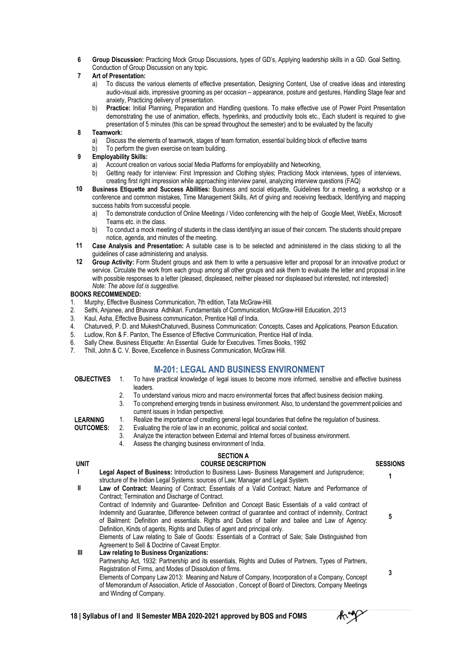**6 Group Discussion:** Practicing Mock Group Discussions, types of GD's, Applying leadership skills in a GD. Goal Setting. Conduction of Group Discussion on any topic.

#### **7 Art of Presentation:**

- a) To discuss the various elements of effective presentation, Designing Content, Use of creative ideas and interesting audio-visual aids, impressive grooming as per occasion – appearance, posture and gestures, Handling Stage fear and anxiety, Practicing delivery of presentation.
- b) **Practice:** Initial Planning, Preparation and Handling questions. To make effective use of Power Point Presentation demonstrating the use of animation, effects, hyperlinks, and productivity tools etc., Each student is required to give presentation of 5 minutes (this can be spread throughout the semester) and to be evaluated by the faculty

#### **8 Teamwork:**

- a) Discuss the elements of teamwork, stages of team formation, essential building block of effective teams
- To perform the given exercise on team building.

#### **9 Employability Skills:**

- a) Account creation on various social Media Platforms for employability and Networking,
- b) Getting ready for interview: First Impression and Clothing styles; Practicing Mock interviews, types of interviews, creating first right impression while approaching interview panel, analyzing interview questions (FAQ)
- **10 Business Etiquette and Success Abilities:** Business and social etiquette, Guidelines for a meeting, a workshop or a conference and common mistakes, Time Management Skills, Art of giving and receiving feedback, Identifying and mapping success habits from successful people.
	- a) To demonstrate conduction of Online Meetings / Video conferencing with the help of Google Meet, WebEx, Microsoft Teams etc. in the class.
	- b) To conduct a mock meeting of students in the class identifying an issue of their concern. The students should prepare notice, agenda, and minutes of the meeting.
- **11 Case Analysis and Presentation:** A suitable case is to be selected and administered in the class sticking to all the guidelines of case administering and analysis.
- **12 Group Activity:** Form Student groups and ask them to write a persuasive letter and proposal for an innovative product or service. Circulate the work from each group among all other groups and ask them to evaluate the letter and proposal in line with possible responses to a letter (pleased, displeased, neither pleased nor displeased but interested, not interested) *Note: The above list is suggestive.*

#### **BOOKS RECOMMENDED:**

- 1. Murphy, Effective Business Communication, 7th edition, Tata McGraw-Hill.
- 2. Sethi, Anjanee, and Bhavana Adhikari. Fundamentals of Communication, McGraw-Hill Education, 2013
- 3. Kaul, Asha, Effective Business communication, Prentice Hall of India.
- 4. Chaturvedi, P. D. and MukeshChaturvedi, Business Communication: Concepts, Cases and Applications, Pearson Education.<br>5. Ludlow, Ron & F. Panton. The Essence of Effective Communication. Prentice Hall of India.
- Ludlow, Ron & F. Panton, The Essence of Effective Communication, Prentice Hall of India.
- 6. Sally Chew. Business Etiquette: An Essential Guide for Executives. Times Books, 1992
- 7. Thill, John & C. V. Bovee, Excellence in Business Communication, McGraw Hill.

#### **M-201: LEGAL AND BUSINESS ENVIRONMENT**

- **OBJECTIVES** 1. To have practical knowledge of legal issues to become more informed, sensitive and effective business leaders.
	- 2. To understand various micro and macro environmental forces that affect business decision making.
	- 3. To comprehend emerging trends in business environment. Also, to understand the government policies and current issues in Indian perspective.
	- 1. Realize the importance of creating general legal boundaries that define the regulation of business.

**LEARNING OUTCOMES:**

- 2. Evaluating the role of law in an economic, political and social context. 3. Analyze the interaction between External and Internal forces of business environment.
	- 4. Assess the changing business environment of India.

#### **SECTION A**

**UNIT COURSE DESCRIPTION SESSIONS I Legal Aspect of Business:** Introduction to Business Laws- Business Management and Jurisprudence; structure of the Indian Legal Systems: sources of Law; Manager and Legal System. **<sup>1</sup> II Law of Contract:** Meaning of Contract; Essentials of a Valid Contract; Nature and Performance of Contract; Termination and Discharge of Contract. Contract of Indemnity and Guarantee- Definition and Concept Basic Essentials of a valid contract of Indemnity and Guarantee, Difference between contract of guarantee and contract of indemnity, Contract of Bailment: Definition and essentials. Rights and Duties of bailer and bailee and Law of Agency: Definition, Kinds of agents, Rights and Duties of agent and principal only. Elements of Law relating to Sale of Goods: Essentials of a Contract of Sale; Sale Distinguished from

Agreement to Sell & Doctrine of Caveat Emptor.

#### **III Law relating to Business Organizations:**

Partnership Act, 1932: Partnership and its essentials, Rights and Duties of Partners, Types of Partners, Registration of Firms, and Modes of Dissolution of firms.

Elements of Company Law 2013: Meaning and Nature of Company, Incorporation of a Company, Concept of Memorandum of Association, Article of Association , Concept of Board of Directors, Company Meetings and Winding of Company.



- -

**5**

**3**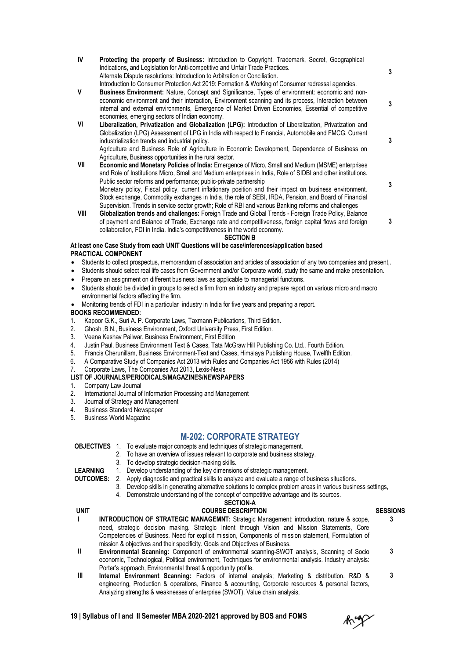- **SECTION B At least one Case Study from each UNIT Questions will be case/inferences/application based PRACTICAL COMPONENT IV Protecting the property of Business:** Introduction to Copyright, Trademark, Secret, Geographical Indications, and Legislation for Anti-competitive and Unfair Trade Practices. Alternate Dispute resolutions: Introduction to Arbitration or Conciliation. Introduction to Consumer Protection Act 2019: Formation & Working of Consumer redressal agencies. **3 V Business Environment:** Nature, Concept and Significance, Types of environment: economic and noneconomic environment and their interaction, Environment scanning and its process, Interaction between internal and external environments, Emergence of Market Driven Economies, Essential of competitive economies, emerging sectors of Indian economy. **3 VI Liberalization, Privatization and Globalization (LPG):** Introduction of Liberalization, Privatization and Globalization (LPG) Assessment of LPG in India with respect to Financial, Automobile and FMCG. Current industrialization trends and industrial policy. Agriculture and Business Role of Agriculture in Economic Development, Dependence of Business on Agriculture, Business opportunities in the rural sector. **3 VII Economic and Monetary Policies of India:** Emergence of Micro, Small and Medium (MSME) enterprises and Role of Institutions Micro, Small and Medium enterprises in India, Role of SIDBI and other institutions. Public sector reforms and performance; public-private partnership Monetary policy, Fiscal policy, current inflationary position and their impact on business environment. Stock exchange, Commodity exchanges in India, the role of SEBI, IRDA, Pension, and Board of Financial Supervision. Trends in service sector growth; Role of RBI and various Banking reforms and challenges **3 VIII Globalization trends and challenges:** Foreign Trade and Global Trends - Foreign Trade Policy, Balance of payment and Balance of Trade, Exchange rate and competitiveness, foreign capital flows and foreign collaboration, FDI in India. India's competitiveness in the world economy. **3**
- Students to collect prospectus, memorandum of association and articles of association of any two companies and present,.
- Students should select real life cases from Government and/or Corporate world, study the same and make presentation.
- Prepare an assignment on different business laws as applicable to managerial functions.
- Students should be divided in groups to select a firm from an industry and prepare report on various micro and macro environmental factors affecting the firm.
- Monitoring trends of FDI in a particular industry in India for five years and preparing a report.

#### **BOOKS RECOMMENDED:**

- 1. Kapoor G.K., Suri A. P. Corporate Laws, Taxmann Publications, Third Edition.
- 2. Ghosh ,B.N., Business Environment, Oxford University Press, First Edition.<br>3. Veena Keshav Pailwar. Business Environment. First Edition
- 3. Veena Keshav Pailwar, Business Environment, First Edition
- 4. Justin Paul, Business Environment Text & Cases, Tata McGraw Hill Publishing Co. Ltd., Fourth Edition.
- 5. Francis Cherunillam, Business Environment-Text and Cases, Himalaya Publishing House, Twelfth Edition.
- 6. A Comparative Study of Companies Act 2013 with Rules and Companies Act 1956 with Rules (2014)
- 7. Corporate Laws, The Companies Act 2013, Lexis-Nexis

#### **LIST OF JOURNALS/PERIODICALS/MAGAZINES/NEWSPAPERS**

- 1. Company Law Journal
- 2. International Journal of Information Processing and Management
- 3. Journal of Strategy and Management
- 4. Business Standard Newspaper<br>5. Business World Magazine
- Business World Magazine

#### **M-202: CORPORATE STRATEGY**

#### **OBJECTIVES** 1. To evaluate major concepts and techniques of strategic management.

- 2. To have an overview of issues relevant to corporate and business strategy.
- 3. To develop strategic decision-making skills.

**LEARNING OUTCOMES:**

- 1. Develop understanding of the key dimensions of strategic management.
	- 2. Apply diagnostic and practical skills to analyze and evaluate a range of business situations.<br>3. Develop skills in generation alternative solutions to complex problem areas in various busin
	- Develop skills in generating alternative solutions to complex problem areas in various business settings, 4. Demonstrate understanding of the concept of competitive advantage and its sources.

#### **SECTION-A UNIT COURSE DESCRIPTION SESSIONS**

- **I INTRODUCTION OF STRATEGIC MANAGEMNT:** Strategic Management: introduction, nature & scope, need, strategic decision making. Strategic Intent through Vision and Mission Statements, Core Competencies of Business. Need for explicit mission, Components of mission statement, Formulation of mission & objectives and their specificity. Goals and Objectives of Business. **3 II Environmental Scanning:** Component of environmental scanning-SWOT analysis, Scanning of Socio economic, Technological, Political environment, Techniques for environmental analysis. Industry analysis: Porter's approach, Environmental threat & opportunity profile. **3 III Internal Environment Scanning:** Factors of internal analysis; Marketing & distribution. R&D & engineering, Production & operations, Finance & accounting, Corporate resources & personal factors, **3**
- **19 | Syllabus of I and II Semester MBA 2020-2021 approved by BOS and FOMS**

Analyzing strengths & weaknesses of enterprise (SWOT). Value chain analysis,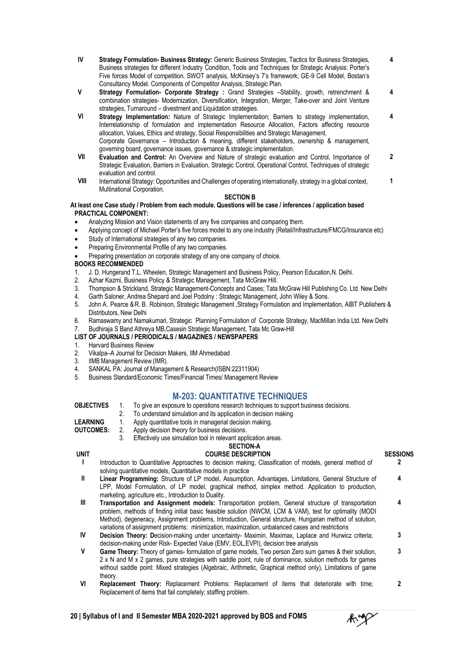- **IV Strategy Formulation- Business Strategy:** Generic Business Strategies, Tactics for Business Strategies, Business strategies for different Industry Condition, Tools and Techniques for Strategic Analysis: Porter's Five forces Model of competition. SWOT analysis, McKinsey's 7's framework; GE-9 Cell Model, Bostan's Consultancy Model. Components of Competitor Analysis, Strategic Plan. **4**
- **V Strategy Formulation- Corporate Strategy :** Grand Strategies –Stability, growth, retrenchment & combination strategies- Modernization, Diversification, Integration, Merger, Take-over and Joint Venture strategies, Turnaround – divestment and Liquidation strategies. **4**
- **VI Strategy Implementation:** Nature of Strategic Implementation; Barriers to strategy implementation, Interrelationship of formulation and implementation Resource Allocation, Factors affecting resource allocation, Values, Ethics and strategy, Social Responsibilities and Strategic Management. Corporate Governance – Introduction & meaning, different stakeholders, ownership & management, governing board, governance issues, governance & strategic implementation. **4**
- **VII Evaluation and Control:** An Overview and Nature of strategic evaluation and Control, Importance of Strategic Evaluation, Barriers in Evaluation, Strategic Control, Operational Control, Techniques of strategic evaluation and control. **2**
- **VIII** International Strategy: Opportunities and Challenges of operating internationally, strategy in a global context, Multinational Corporation. **1**

#### **SECTION B**

#### **At least one Case study / Problem from each module. Questions will be case / inferences / application based PRACTICAL COMPONENT:**

- Analyzing Mission and Vision statements of any five companies and comparing them.
- Applying concept of Michael Porter's five forces model to any one industry (Retail/Infrastructure/FMCG/Insurance etc)
- Study of International strategies of any two companies.
- Preparing Environmental Profile of any two companies.
- Preparing presentation on corporate strategy of any one company of choice.

#### **BOOKS RECOMMENDED**

- 1. J. D. Hungerand T.L. Wheelen, Strategic Management and Business Policy, Pearson Education, N. Delhi.<br>2. Azhar Kazmi, Business Policy & Strategic Management, Tata McGraw Hill.
- Azhar Kazmi, Business Policy & Strategic Management, Tata McGraw Hill.
- 3. Thompson & Strickland, Strategic Management-Concepts and Cases; Tata McGraw Hill Publishing Co. Ltd. New Delhi
- 
- 4. Garth Saloner, Andrea Shepard and Joel Podolny : Strategic Management, John Wiley & Sons.<br>5. John A. Pearce & R. B. Robinson. Strategic Management , Strategy Formulation and Implement 5. John A. Pearce &R. B. Robinson, Strategic Management ,Strategy Formulation and Implementation, AIBT Publishers & Distributors, New Delhi
- 6. Ramaswamy and Namakumari, Strategic Planning Formulation of Corporate Strategy, MacMillan India Ltd. New Delhi

#### 7. Budhiraja S Band Athreya MB,Casesin Strategic Management, Tata Mc Graw-Hill

#### **LIST OF JOURNALS / PERIODICALS / MAGAZINES / NEWSPAPERS**

- 1. Harvard Business Review
- 2. Vikalpa–A Journal for Decision Makers, IIM Ahmedabad
- 3. IIMB Management Review (IMR).
- 4. SANKAL PA: Journal of Management & Research(ISBN:22311904)
- 5. Business Standard/Economic Times/Financial Times/ Management Review

#### **M-203: QUANTITATIVE TECHNIQUES**

- **OBJECTIVES** 1. To give an exposure to operations research techniques to support business decisions.
	- 2. To understand simulation and its application in decision making
- **LEARNING** 1. Apply quantitative tools in managerial decision making.
- **OUTCOMES:** 2. Apply decision theory for business decisions.
	- 3. Effectively use simulation tool in relevant application areas.

#### **SECTION-A UNIT COURSE DESCRIPTION SESSIONS**

- **I** Introduction to Quantitative Approaches to decision making, Classification of models, general method of solving quantitative models, Quantitative models in practice **2**
- **II Linear Programming:** Structure of LP model, Assumption, Advantages, Limitations, General Structure of LPP, Model Formulation, of LP model, graphical method, simplex method. Application to production, marketing, agriculture etc., Introduction to Duality.
- **III Transportation and Assignment models:** Transportation problem, General structure of transportation problem, methods of finding initial basic feasible solution (NWCM, LCM & VAM), test for optimality (MODI Method), degeneracy, Assignment problems, Introduction, General structure, Hungarian method of solution, variations of assignment problems: minimization, maximization, unbalanced cases and restrictions **4**
- **IV Decision Theory: D**ecision-making under uncertainty- Maximin, Maximax, Laplace and Hurwicz criteria; decision-making under Risk- Expected Value (EMV, EOL,EVPI), decision tree analysis **3**
- **V Game Theory:** Theory of games- formulation of game models, Two person Zero sum games & their solution, 2 x N and M x 2 games, pure strategies with saddle point, rule of dominance, solution methods for games without saddle point: Mixed strategies (Algebraic, Arithmetic, Graphical method only), Limitations of game theory. **3**
- **VI Replacement Theory:** Replacement Problems: Replacement of items that deteriorate with time; Replacement of items that fail completely; staffing problem. **2**



**4**

- 
-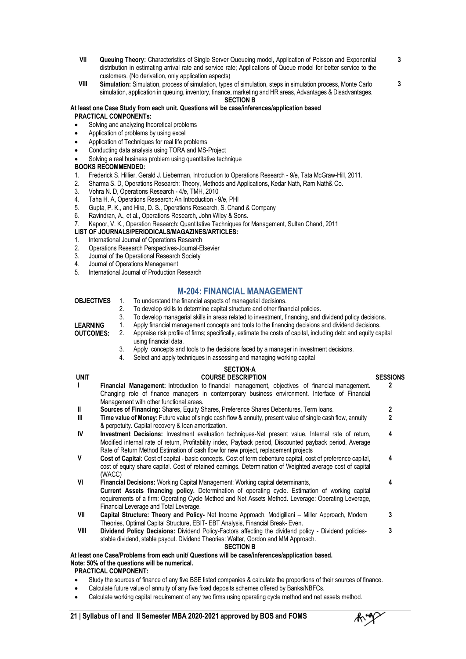- **VII Queuing Theory:** Characteristics of Single Server Queueing model, Application of Poisson and Exponential distribution in estimating arrival rate and service rate; Applications of Queue model for better service to the customers. (No derivation, only application aspects)
- **SECTION B VIII Simulation:** Simulation, process of simulation, types of simulation, steps in simulation process, Monte Carlo simulation, application in queuing, inventory, finance, marketing and HR areas, Advantages & Disadvantages.

#### **At least one Case Study from each unit. Questions will be case/inferences/application based PRACTICAL COMPONENTs:**

- Solving and analyzing theoretical problems
- Application of problems by using excel
- Application of Techniques for real life problems
- Conducting data analysis using TORA and MS-Project
- Solving a real business problem using quantitative technique

#### **BOOKS RECOMMENDED:**

- 1. Frederick S. Hillier, Gerald J. Lieberman, Introduction to Operations Research 9/e, Tata McGraw-Hill, 2011.<br>2. Sharma S. D. Operations Research: Theory, Methods and Applications, Kedar Nath, Ram Nath& Co.
- 2. Sharma S. D, Operations Research: Theory, Methods and Applications, Kedar Nath, Ram Nath& Co.
- 3. Vohra N. D, Operations Research 4/e, TMH, 2010
- 
- 4. Taha H. A, Operations Research: An Introduction 9/e, PHI 5. Gupta, P. K., and Hira, D. S., Operations Research, S. Chand & Company 6. Ravindran, A., et al., Operations Research, John Wiley & Sons.
- 6. Ravindran, A., et al., Operations Research, John Wiley & Sons.
- 7. Kapoor, V. K., Operation Research: Quantitative Techniques for Management, Sultan Chand, 2011

#### **LIST OF JOURNALS/PERIODICALS/MAGAZINES/ARTICLES:**

- 1. International Journal of Operations Research<br>2. Operations Research Perspectives-Journal-E
- 2. Operations Research Perspectives-Journal-Elsevier
- 3. Journal of the Operational Research Society<br>4. Journal of Operations Management
- 4. Journal of Operations Management<br>5. International Journal of Production F
- International Journal of Production Research

#### **M-204: FINANCIAL MANAGEMENT**

- **OBJECTIVES** 1. To understand the financial aspects of managerial decisions.
	- 2. To develop skills to determine capital structure and other financial policies.<br>2. To develop managerial skills in areas related to investment, financing, and
	- 3. To develop managerial skills in areas related to investment, financing, and dividend policy decisions.
		- 1. Apply financial management concepts and tools to the financing decisions and dividend decisions.

**LEARNING OUTCOMES:**

- 2. Appraise risk profile of firms; specifically, estimate the costs of capital, including debt and equity capital using financial data.
	- 3. Apply concepts and tools to the decisions faced by a manager in investment decisions.
- 4. Select and apply techniques in assessing and managing working capital

### **SECTION-A**<br>COUPSE DESCRIPTION

| <b>UNIT</b>  | <b>COURSE DESCRIPTION</b>                                                                                                                                                                                                                                                                                                                         | <b>SESSIONS</b> |
|--------------|---------------------------------------------------------------------------------------------------------------------------------------------------------------------------------------------------------------------------------------------------------------------------------------------------------------------------------------------------|-----------------|
| $\mathbf{I}$ | Financial Management: Introduction to financial management, objectives of financial management.<br>Changing role of finance managers in contemporary business environment. Interface of Financial                                                                                                                                                 | 2               |
|              |                                                                                                                                                                                                                                                                                                                                                   |                 |
|              | Management with other functional areas.                                                                                                                                                                                                                                                                                                           |                 |
| Ш            | <b>Sources of Financing:</b> Shares, Equity Shares, Preference Shares Debentures, Term loans.                                                                                                                                                                                                                                                     | 2               |
| Ш            | Time value of Money: Future value of single cash flow & annuity, present value of single cash flow, annuity<br>& perpetuity. Capital recovery & loan amortization.                                                                                                                                                                                | 2               |
| IV           | Investment Decisions: Investment evaluation techniques-Net present value, Internal rate of return,<br>Modified internal rate of return, Profitability index, Payback period, Discounted payback period, Average<br>Rate of Return Method Estimation of cash flow for new project, replacement projects                                            | 4               |
| $\mathsf{V}$ | Cost of Capital: Cost of capital - basic concepts. Cost of term debenture capital, cost of preference capital,<br>cost of equity share capital. Cost of retained earnings. Determination of Weighted average cost of capital<br>(WACC)                                                                                                            | 4               |
| VI           | <b>Financial Decisions:</b> Working Capital Management: Working capital determinants,<br><b>Current Assets financing policy.</b> Determination of operating cycle. Estimation of working capital<br>requirements of a firm: Operating Cycle Method and Net Assets Method. Leverage: Operating Leverage,<br>Financial Leverage and Total Leverage. | 4               |
| VII          | Capital Structure: Theory and Policy- Net Income Approach, Modigillani – Miller Approach, Modern<br>Theories, Optimal Capital Structure, EBIT- EBT Analysis, Financial Break- Even.                                                                                                                                                               | 3               |
| VIII         | Dividend Policy Decisions: Dividend Policy-Factors affecting the dividend policy - Dividend policies-<br>stable dividend, stable payout. Dividend Theories: Walter, Gordon and MM Approach.<br><b>SECTION B</b>                                                                                                                                   | 3               |
|              | least one Case/Problems from each unit/ Questions will be case/inferences/application based.                                                                                                                                                                                                                                                      |                 |

**At least one Case/Problems from each unit/ Questions will be case/inferences/application based. Note: 50% of the questions will be numerical.**

**PRACTICAL COMPONENT:**

- Study the sources of finance of any five BSE listed companies & calculate the proportions of their sources of finance.
- Calculate future value of annuity of any five fixed deposits schemes offered by Banks/NBFCs.
- Calculate working capital requirement of any two firms using operating cycle method and net assets method.



**3 3**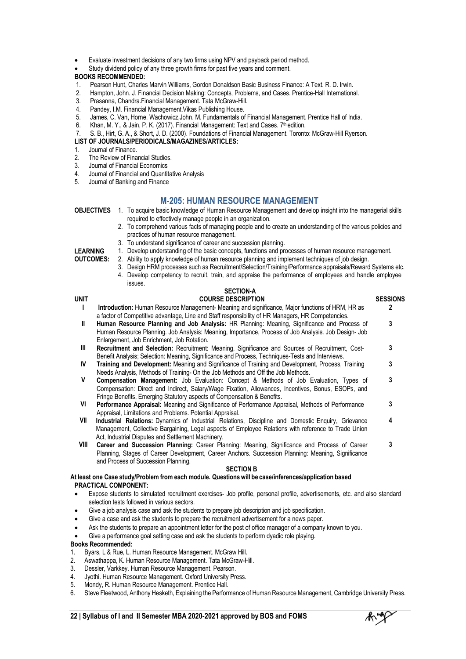- Evaluate investment decisions of any two firms using NPV and payback period method.
- Study dividend policy of any three growth firms for past five years and comment.

#### **BOOKS RECOMMENDED:**

- 1. Pearson Hunt, Charles Marvin Williams, Gordon Donaldson Basic Business Finance: A Text. R. D. Irwin.
- Hampton, John. J. Financial Decision Making: Concepts, Problems, and Cases. Prentice-Hall International.
- 3. Prasanna, Chandra.Financial Management. Tata McGraw-Hill.
- 4. Pandey, I.M. Financial Management.Vikas Publishing House.
- 5. James, C. Van, Horne. Wachowicz, John. M. Fundamentals of Financial Management. Prentice Hall of India.<br>6. Khan. M. Y., & Jain. P. K. (2017). Financial Management: Text and Cases. 7<sup>th</sup> edition.
- 6. Khan, M. Y., & Jain, P. K. (2017). Financial Management: Text and Cases. 7th edition.
- 7. S. B., Hirt, G. A., & Short, J. D. (2000). Foundations of Financial Management. Toronto: McGraw-Hill Ryerson.
- **LIST OF JOURNALS/PERIODICALS/MAGAZINES/ARTICLES:**
- 1. Journal of Finance.<br>2. The Review of Fina
- 2. The Review of Financial Studies.<br>3. Journal of Financial Economics
- Journal of Financial Economics
- 4. Journal of Financial and Quantitative Analysis
- 5. Journal of Banking and Finance

#### **M-205: HUMAN RESOURCE MANAGEMENT**

**OBJECTIVES** 1. To acquire basic knowledge of Human Resource Management and develop insight into the managerial skills required to effectively manage people in an organization.

- 2. To comprehend various facts of managing people and to create an understanding of the various policies and practices of human resource management.
- 3. To understand significance of career and succession planning.

**LEARNING OUTCOMES:**

- 1. Develop understanding of the basic concepts, functions and processes of human resource management. 2. Ability to apply knowledge of human resource planning and implement techniques of job design.
- - 3. Design HRM processes such as Recruitment/Selection/Training/Performance appraisals/Reward Systems etc. 4. Develop competency to recruit, train, and appraise the performance of employees and handle employee issues.

### **SECTION-A**

#### **SECTION B UNIT COURSE DESCRIPTION SESSIONS I Introduction:** Human Resource Management- Meaning and significance, Major functions of HRM, HR as a factor of Competitive advantage, Line and Staff responsibility of HR Managers, HR Competencies. **2 II Human Resource Planning and Job Analysis:** HR Planning: Meaning, Significance and Process of Human Resource Planning. Job Analysis: Meaning, Importance, Process of Job Analysis. Job Design- Job Enlargement, Job Enrichment, Job Rotation. **3 III Recruitment and Selection:** Recruitment: Meaning, Significance and Sources of Recruitment, Cost-Benefit Analysis; Selection: Meaning, Significance and Process, Techniques-Tests and Interviews. **3 IV Training and Development:** Meaning and Significance of Training and Development, Process, Training Needs Analysis, Methods of Training- On the Job Methods and Off the Job Methods. **3 V Compensation Management:** Job Evaluation: Concept & Methods of Job Evaluation, Types of Compensation: Direct and Indirect, Salary/Wage Fixation, Allowances, Incentives, Bonus, ESOPs, and Fringe Benefits, Emerging Statutory aspects of Compensation & Benefits. **3 VI Performance Appraisal:** Meaning and Significance of Performance Appraisal, Methods of Performance Appraisal, Limitations and Problems. Potential Appraisal. **3 VII Industrial Relations:** Dynamics of Industrial Relations, Discipline and Domestic Enquiry, Grievance Management, Collective Bargaining, Legal aspects of Employee Relations with reference to Trade Union Act, Industrial Disputes and Settlement Machinery. **4 VIII Career and Succession Planning:** Career Planning: Meaning, Significance and Process of Career Planning, Stages of Career Development, Career Anchors. Succession Planning: Meaning, Significance and Process of Succession Planning. **3**

#### **At least one Case study/Problem from each module. Questionswill be case/inferences/application based PRACTICAL COMPONENT:**

- Expose students to simulated recruitment exercises- Job profile, personal profile, advertisements, etc. and also standard selection tests followed in various sectors.
- Give a job analysis case and ask the students to prepare job description and job specification.
- Give a case and ask the students to prepare the recruitment advertisement for a news paper.
- Ask the students to prepare an appointment letter for the post of office manager of a company known to you.
- Give a performance goal setting case and ask the students to perform dyadic role playing.

#### **Books Recommended:**

- 1. Byars, L & Rue, L. Human Resource Management. McGraw Hill.
- 2. Aswathappa, K. Human Resource Management. Tata McGraw-Hill.
- 3. Dessler, Varkkey. Human Resource Management. Pearson.
- 4. Jyothi. Human Resource Management. Oxford University Press.
- 5. Mondy, R. Human Resource Management. Prentice Hall.
- 6. Steve Fleetwood, Anthony Hesketh, Explaining the Performance of Human Resource Management, Cambridge University Press.

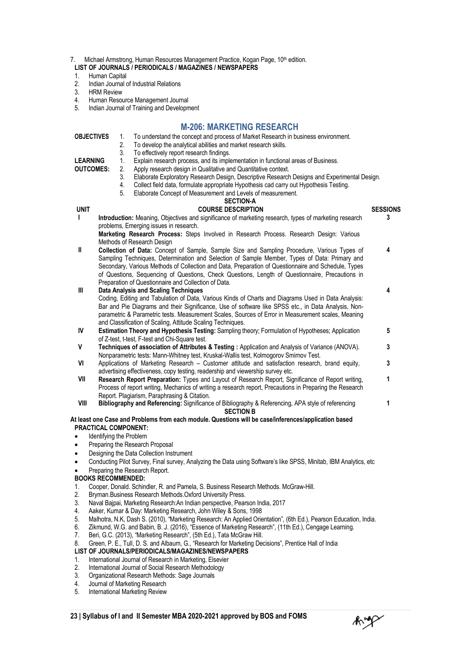- 7. Michael Armstrong, Human Resources Management Practice, Kogan Page, 10<sup>th</sup> edition.
- **LIST OF JOURNALS / PERIODICALS / MAGAZINES / NEWSPAPERS**
- 1. Human Capital<br>2. Indian Journal
- 2. Indian Journal of Industrial Relations<br>3. HRM Review
- 3. HRM Review<br>4. Human Resor
- 4. Human Resource Management Journal<br>5. Indian Journal of Training and Developn
- 5. Indian Journal of Training and Development

#### **M-206: MARKETING RESEARCH**

- **OBJECTIVES** 1. To understand the concept and process of Market Research in business environment.<br>2. To develop the analytical abilities and market research skills.
	- 2. To develop the analytical abilities and market research skills.
	- 3. To effectively report research findings.<br>1. Explain research process, and its imple-
- **LEARNING** 1. Explain research process, and its implementation in functional areas of Business.

**OUTCOMES:**

- 2. Apply research design in Qualitative and Quantitative context.<br>3. Elaborate Exploratory Research Design, Descriptive Research 3. Elaborate Exploratory Research Design, Descriptive Research Designs and Experimental Design.<br>4. Collect field data, formulate appropriate Hypothesis cad carry out Hypothesis Testing.
- 4. Collect field data, formulate appropriate Hypothesis cad carry out Hypothesis Testing.<br>5. Elaborate Concept of Measurement and Levels of measurement
- Elaborate Concept of Measurement and Levels of measurement.

|             | <b>SECTION-A</b>                                                                                                                                                 |                 |
|-------------|------------------------------------------------------------------------------------------------------------------------------------------------------------------|-----------------|
| <b>UNIT</b> | <b>COURSE DESCRIPTION</b>                                                                                                                                        | <b>SESSIONS</b> |
| п           | Introduction: Meaning, Objectives and significance of marketing research, types of marketing research                                                            | 3               |
|             | problems, Emerging issues in research.                                                                                                                           |                 |
|             | Marketing Research Process: Steps Involved in Research Process. Research Design: Various                                                                         |                 |
|             | Methods of Research Design                                                                                                                                       |                 |
| Ш           | Collection of Data: Concept of Sample, Sample Size and Sampling Procedure, Various Types of                                                                      | 4               |
|             | Sampling Techniques, Determination and Selection of Sample Member, Types of Data: Primary and                                                                    |                 |
|             | Secondary, Various Methods of Collection and Data, Preparation of Questionnaire and Schedule, Types                                                              |                 |
|             | of Questions, Sequencing of Questions, Check Questions, Length of Questionnaire, Precautions in                                                                  |                 |
|             | Preparation of Questionnaire and Collection of Data.                                                                                                             |                 |
| Ш           | <b>Data Analysis and Scaling Techniques</b>                                                                                                                      | 4               |
|             | Coding, Editing and Tabulation of Data, Various Kinds of Charts and Diagrams Used in Data Analysis:                                                              |                 |
|             | Bar and Pie Diagrams and their Significance, Use of software like SPSS etc., in Data Analysis, Non-                                                              |                 |
|             | parametric & Parametric tests. Measurement Scales, Sources of Error in Measurement scales, Meaning                                                               |                 |
| IV          | and Classification of Scaling, Attitude Scaling Techniques.<br>Estimation Theory and Hypothesis Testing: Sampling theory; Formulation of Hypotheses; Application | 5               |
|             | of Z-test, t-test, F-test and Chi-Square test.                                                                                                                   |                 |
| ٧           | Techniques of association of Attributes & Testing : Application and Analysis of Variance (ANOVA).                                                                | 3               |
|             | Nonparametric tests: Mann-Whitney test, Kruskal-Wallis test, Kolmogorov Smirnov Test.                                                                            |                 |
| VI          | Applications of Marketing Research - Customer attitude and satisfaction research, brand equity,                                                                  | 3               |
|             | advertising effectiveness, copy testing, readership and viewership survey etc.                                                                                   |                 |
| VII         | Research Report Preparation: Types and Layout of Research Report, Significance of Report writing,                                                                | 1               |
|             | Process of report writing, Mechanics of writing a research report, Precautions in Preparing the Research                                                         |                 |
|             | Report. Plagiarism, Paraphrasing & Citation.                                                                                                                     |                 |
| VIII        | Bibliography and Referencing: Significance of Bibliography & Referencing, APA style of referencing                                                               | 1               |
|             | <b>SECTION B</b>                                                                                                                                                 |                 |
|             | At least one Case and Problems from each module. Questions will be case/inferences/application based                                                             |                 |
|             | <b>PRACTICAL COMPONENT:</b>                                                                                                                                      |                 |
|             | Identifying the Problem                                                                                                                                          |                 |
|             | Preparing the Research Proposal                                                                                                                                  |                 |
|             | Designing the Data Collection Instrument                                                                                                                         |                 |
|             | Conducting Pilot Survey, Final survey, Analyzing the Data using Software's like SPSS, Minitab, IBM Analytics, etc                                                |                 |
|             | Preparing the Research Report.                                                                                                                                   |                 |
|             | <b>BOOKS RECOMMENDED:</b>                                                                                                                                        |                 |
| 1.          | Cooper, Donald. Schindler, R. and Pamela, S. Business Research Methods. McGraw-Hill.                                                                             |                 |
| 2.          | Bryman. Business Research Methods. Oxford University Press.                                                                                                      |                 |
| 3.          | Naval Bajpai, Marketing Research:An Indian perspective, Pearson India, 2017                                                                                      |                 |
| $\Lambda$   | Asker Kumsr & Day: Marketing Pesearch, John Wiley & Sons, 1998                                                                                                   |                 |

- 4. Aaker, Kumar & Day: Marketing Research, John Wiley & Sons, 1998 5. Malhotra, N.K, Dash S. (2010), "Marketing Research: An Applied Orientation", (6th Ed.), Pearson Education, India.
- 6. Zikmund, W.G. and Babin, B. J. (2016), "Essence of Marketing Research", (11th Ed.), Cengage Learning.
- 7. Beri, G.C. (2013), "Marketing Research", (5th Ed.), Tata McGraw Hill.
- 8. Green, P. E., Tull, D. S. and Albaum, G., "Research for Marketing Decisions", Prentice Hall of India
- **LIST OF JOURNALS/PERIODICALS/MAGAZINES/NEWSPAPERS**
- 1. International Journal of Research in Marketing, Elsevier<br>2. International Journal of Social Research Methodology
- International Journal of Social Research Methodology
- 3. Organizational Research Methods: Sage Journals
- 4. Journal of Marketing Research<br>5. International Marketing Review
- International Marketing Review

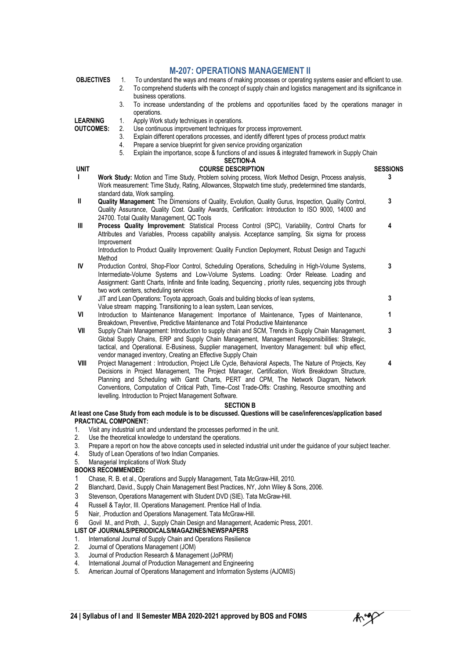| <b>OBJECTIVES</b> |  |
|-------------------|--|
|                   |  |

#### **M-207: OPERATIONS MANAGEMENT II**

- **OBJECTIVES** 1. To understand the ways and means of making processes or operating systems easier and efficient to use.<br>2. To comprehend students with the concept of supply chain and logistics management and its significanc 2. To comprehend students with the concept of supply chain and logistics management and its significance in business operations.
	- 3. To increase understanding of the problems and opportunities faced by the operations manager in operations.

**LEARNING**

- **OUTCOMES:** 1. Apply Work study techniques in operations.<br>2. Use continuous improvement techniques for 2. Use continuous improvement techniques for process improvement.<br>3. Explain different operations processes, and identify different types of
	- Explain different operations processes, and identify different types of process product matrix
	- 4. Prepare a service blueprint for given service providing organization
	- 5. Explain the importance, scope & functions of and issues & integrated framework in Supply Chain

|              | Explain the importance, scope & functions of and issues & integrated framework in Supply Chain<br>5.                                                |                 |
|--------------|-----------------------------------------------------------------------------------------------------------------------------------------------------|-----------------|
|              | <b>SECTION-A</b>                                                                                                                                    |                 |
| unit         | <b>COURSE DESCRIPTION</b>                                                                                                                           | <b>SESSIONS</b> |
| L            | Work Study: Motion and Time Study, Problem solving process, Work Method Design, Process analysis,                                                   | 3               |
|              | Work measurement: Time Study, Rating, Allowances, Stopwatch time study, predetermined time standards,<br>standard data, Work sampling.              |                 |
| $\mathbf{I}$ | Quality Management: The Dimensions of Quality, Evolution, Quality Gurus, Inspection, Quality Control,                                               | 3               |
|              | Quality Assurance, Quality Cost. Quality Awards, Certification: Introduction to ISO 9000, 14000 and                                                 |                 |
|              | 24700. Total Quality Management, QC Tools                                                                                                           |                 |
| Ш            | Process Quality Improvement: Statistical Process Control (SPC), Variability, Control Charts for                                                     | 4               |
|              | Attributes and Variables, Process capability analysis. Acceptance sampling, Six sigma for process                                                   |                 |
|              | Improvement                                                                                                                                         |                 |
|              | Introduction to Product Quality Improvement: Quality Function Deployment, Robust Design and Taguchi                                                 |                 |
|              | Method                                                                                                                                              |                 |
| IV           | Production Control, Shop-Floor Control, Scheduling Operations, Scheduling in High-Volume Systems,                                                   | 3               |
|              | Intermediate-Volume Systems and Low-Volume Systems. Loading: Order Release. Loading and                                                             |                 |
|              | Assignment: Gantt Charts, Infinite and finite loading, Sequencing, priority rules, sequencing jobs through<br>two work centers, scheduling services |                 |
| $\mathsf{V}$ | JIT and Lean Operations: Toyota approach, Goals and building blocks of lean systems,                                                                | 3               |
|              | Value stream mapping. Transitioning to a lean system, Lean services,                                                                                |                 |
| VI           | Introduction to Maintenance Management: Importance of Maintenance, Types of Maintenance,                                                            | 1               |
|              | Breakdown, Preventive, Predictive Maintenance and Total Productive Maintenance                                                                      |                 |
| VII          | Supply Chain Management: Introduction to supply chain and SCM, Trends in Supply Chain Management,                                                   | 3               |
|              | Global Supply Chains, ERP and Supply Chain Management, Management Responsibilities: Strategic,                                                      |                 |
|              | tactical, and Operational. E-Business, Supplier management, Inventory Management: bull whip effect,                                                 |                 |
|              | vendor managed inventory, Creating an Effective Supply Chain                                                                                        |                 |
| VIII         | Project Management: Introduction, Project Life Cycle, Behavioral Aspects, The Nature of Projects, Key                                               | 4               |
|              | Decisions in Project Management, The Project Manager, Certification, Work Breakdown Structure,                                                      |                 |

Conventions, Computation of Critical Path, Time–Cost Trade-Offs: Crashing, Resource smoothing and levelling. Introduction to Project Management Software.

Planning and Scheduling with Gantt Charts, PERT and CPM, The Network Diagram, Network

#### **SECTION B**

#### **At least one Case Study from each module is to be discussed. Questions will be case/inferences/application based PRACTICAL COMPONENT:**

- 1. Visit any industrial unit and understand the processes performed in the unit.
- 2. Use the theoretical knowledge to understand the operations.
- 3. Prepare a report on how the above concepts used in selected industrial unit under the guidance of your subject teacher.<br>4. Study of Lean Operations of two Indian Companies.
- Study of Lean Operations of two Indian Companies.
- 5. Managerial Implications of Work Study

#### **BOOKS RECOMMENDED:**

- 1 Chase, R. B. et al., Operations and Supply Management, Tata McGraw-Hill, 2010.
- 2 Blanchard, David., Supply Chain Management Best Practices, NY, John Wiley & Sons, 2006.
- 3 Stevenson, Operations Management with Student DVD (SIE). Tata McGraw-Hill.
- 4 Russell & Taylor, III. Operations Management. Prentice Hall of India.
- 5 Nair, .Production and Operations Management. Tata McGraw-Hill.
- 6 Govil M., and Proth, J., Supply Chain Design and Management, Academic Press, 2001.

#### **LIST OF JOURNALS/PERIODICALS/MAGAZINES/NEWSPAPERS**

- 1. International Journal of Supply Chain and Operations Resilience
- 2. Journal of Operations Management (JOM)
- 3. Journal of Production Research & Management (JoPRM)
- 4. International Journal of Production Management and Engineering
- 5. American Journal of Operations Management and Information Systems (AJOMIS)

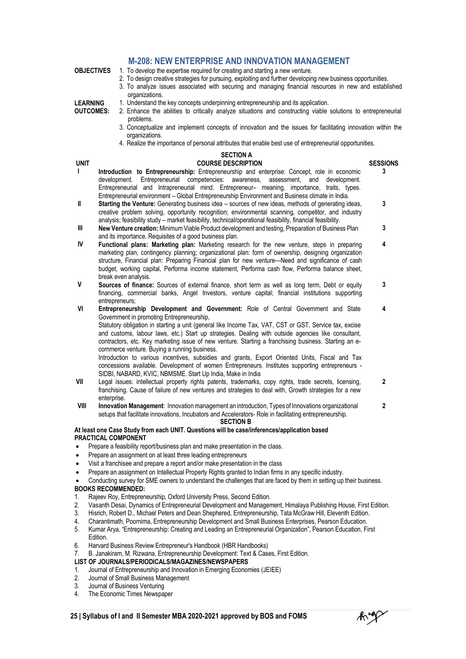#### **M-208: NEW ENTERPRISE AND INNOVATION MANAGEMENT**

- **OBJECTIVES** 1. To develop the expertise required for creating and starting a new venture.
	- 2. To design creative strategies for pursuing, exploiting and further developing new business opportunities.
		- 3. To analyze issues associated with securing and managing financial resources in new and established organizations.

2. Enhance the abilities to critically analyze situations and constructing viable solutions to entrepreneurial

1. Understand the key concepts underpinning entrepreneurship and its application.

**LEARNING OUTCOMES:**

- problems. 3. Conceptualize and implement concepts of innovation and the issues for facilitating innovation within the organizations.
	- 4. Realize the importance of personal attributes that enable best use of entrepreneurial opportunities.

### **SECTION A**

**UNIT COURSE DESCRIPTION SESSIONS I Introduction to Entrepreneurship:** Entrepreneurship and enterprise: Concept, role in economic Entrepreneurial competencies: awareness, assessment, and development. Entrepreneurial and Intrapreneurial mind. Entrepreneur– meaning, importance, traits, types. Entrepreneurial environment – Global Entrepreneurship Environment and Business climate in India. **3 II Starting the Venture:** Generating business idea – sources of new ideas, methods of generating ideas, creative problem solving, opportunity recognition; environmental scanning, competitor, and industry analysis; feasibility study – market feasibility, technical/operational feasibility, financial feasibility. **3 III** New Venture creation: Minimum Viable Product development and testing, Preparation of Business Plan and its importance. Requisites of a good business plan. **3 IV Functional plans: Marketing plan:** Marketing research for the new venture, steps in preparing marketing plan, contingency planning; organizational plan: form of ownership, designing organization structure, Financial plan: Preparing Financial plan for new venture—Need and significance of cash budget, working capital, Performa income statement, Performa cash flow, Performa balance sheet, break even analysis. **4 V Sources of finance:** Sources of external finance, short term as well as long term, Debt or equity financing, commercial banks, Angel Investors, venture capital; financial institutions supporting entrepreneurs; **3 VI Entrepreneurship Development and Government:** Role of Central Government and State Government in promoting Entrepreneurship, Statutory obligation in starting a unit (general like Income Tax, VAT, CST or GST, Service tax, excise and customs, labour laws, etc.) Start up strategies. Dealing with outside agencies like consultant, contractors, etc. Key marketing issue of new venture. Starting a franchising business. Starting an ecommerce venture. Buying a running business. Introduction to various incentives, subsidies and grants, Export Oriented Units, Fiscal and Tax **4**

concessions available. Development of women Entrepreneurs. Institutes supporting entrepreneurs - SIDBI, NABARD, KVIC, NBMSME. Start Up India, Make in India **VII** Legal issues: intellectual property rights patents, trademarks, copy rights, trade secrets, licensing,

- franchising. Cause of failure of new ventures and strategies to deal with, Growth strategies for a new enterprise. **2**
- **VIII Innovation Management**: Innovationmanagement an introduction, Types of Innovations organizational setups that facilitate innovations, Incubators and Accelerators- Role in facilitating entrepreneurship. **2 SECTION B**

#### **At least one Case Study from each UNIT. Questions will be case/inferences/application based PRACTICAL COMPONENT**

- Prepare a feasibility report/business plan and make presentation in the class.
- Prepare an assignment on at least three leading entrepreneurs
- Visit a franchisee and prepare a report and/or make presentation in the class
- Prepare an assignment on Intellectual Property Rights granted to Indian firms in any specific industry.
- Conducting survey for SME owners to understand the challenges that are faced by them in setting up their business. **BOOKS RECOMMENDED:**
- 1. Rajeev Roy, Entrepreneurship, Oxford University Press, Second Edition.
- 2. Vasanth Desai, Dynamics of Entrepreneurial Development and Management, Himalaya Publishing House, First Edition.
- 3. Hisrich, Robert D., Michael Peters and Dean Shephered, Entrepreneurship, Tata McGraw Hill, Eleventh Edition.
- 4. Charantimath, Poornima, Entrepreneurship Development and Small Business Enterprises, Pearson Education.
- 5. Kumar Arya, "Entrepreneurship: Creating and Leading an Entrepreneurial Organization", Pearson Education, First Edition.
- 6. Harvard Business Review Entrepreneur's Handbook (HBR Handbooks)
- 7. B. Janakiram, M. Rizwana, Entrepreneurship Development: Text & Cases, First Edition.

#### **LIST OF JOURNALS/PERIODICALS/MAGAZINES/NEWSPAPERS**

- 1. Journal of Entrepreneurship and Innovation in Emerging Economies (JEIEE)
- 2. Journal of Small Business Management
- 3. Journal of Business Venturing
- 4. The Economic Times Newspaper

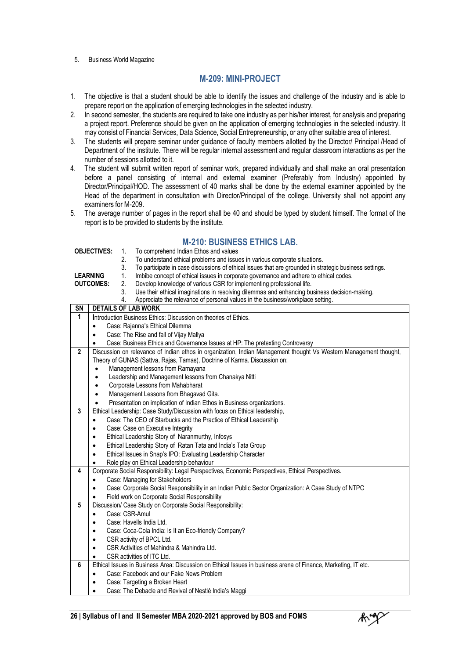#### 5. Business World Magazine

#### **M-209: MINI-PROJECT**

- 1. The objective is that a student should be able to identify the issues and challenge of the industry and is able to prepare report on the application of emerging technologies in the selected industry.
- 2. In second semester, the students are required to take one industry as per his/her interest, for analysis and preparing a project report. Preference should be given on the application of emerging technologies in the selected industry. It may consist of Financial Services, Data Science, Social Entrepreneurship, or any other suitable area of interest.
- 3. The students will prepare seminar under guidance of faculty members allotted by the Director/ Principal /Head of Department of the institute. There will be regular internal assessment and regular classroom interactions as per the number of sessions allotted to it.
- 4. The student will submit written report of seminar work, prepared individually and shall make an oral presentation before a panel consisting of internal and external examiner (Preferably from Industry) appointed by Director/Principal/HOD. The assessment of 40 marks shall be done by the external examiner appointed by the Head of the department in consultation with Director/Principal of the college. University shall not appoint any examiners for M-209.
- 5. The average number of pages in the report shall be 40 and should be typed by student himself. The format of the report is to be provided to students by the institute.

#### **M-210: BUSINESS ETHICS LAB.**

|                                                                    | <b>OBJECTIVES:</b>                                                                                 | To comprehend Indian Ethos and values<br>1.                                                                       |  |
|--------------------------------------------------------------------|----------------------------------------------------------------------------------------------------|-------------------------------------------------------------------------------------------------------------------|--|
|                                                                    |                                                                                                    | 2.<br>To understand ethical problems and issues in various corporate situations.                                  |  |
|                                                                    |                                                                                                    | 3.<br>To participate in case discussions of ethical issues that are grounded in strategic business settings.      |  |
|                                                                    | <b>LEARNING</b>                                                                                    | 1.<br>Imbibe concept of ethical issues in corporate governance and adhere to ethical codes.                       |  |
|                                                                    | <b>OUTCOMES:</b>                                                                                   | Develop knowledge of various CSR for implementing professional life.<br>2.                                        |  |
|                                                                    | 3.<br>Use their ethical imaginations in resolving dilemmas and enhancing business decision-making. |                                                                                                                   |  |
|                                                                    | Appreciate the relevance of personal values in the business/workplace setting.<br>4.               |                                                                                                                   |  |
| SN                                                                 |                                                                                                    | <b>DETAILS OF LAB WORK</b>                                                                                        |  |
| 1                                                                  |                                                                                                    | Introduction Business Ethics: Discussion on theories of Ethics.                                                   |  |
|                                                                    | $\bullet$                                                                                          | Case: Rajanna's Ethical Dilemma                                                                                   |  |
|                                                                    |                                                                                                    | Case: The Rise and fall of Vijay Mallya                                                                           |  |
|                                                                    |                                                                                                    | Case; Business Ethics and Governance Issues at HP: The pretexting Controversy                                     |  |
| $\overline{2}$                                                     |                                                                                                    | Discussion on relevance of Indian ethos in organization, Indian Management thought Vs Western Management thought, |  |
|                                                                    |                                                                                                    | Theory of GUNAS (Sattva, Rajas, Tamas), Doctrine of Karma. Discussion on:                                         |  |
|                                                                    | ٠                                                                                                  | Management lessons from Ramayana                                                                                  |  |
|                                                                    | ٠                                                                                                  | Leadership and Management lessons from Chanakya Nitti                                                             |  |
|                                                                    | $\bullet$                                                                                          | Corporate Lessons from Mahabharat                                                                                 |  |
|                                                                    | $\bullet$                                                                                          | Management Lessons from Bhagavad Gita.                                                                            |  |
|                                                                    | $\bullet$                                                                                          | Presentation on implication of Indian Ethos in Business organizations.                                            |  |
| 3                                                                  |                                                                                                    | Ethical Leadership: Case Study/Discussion with focus on Ethical leadership,                                       |  |
|                                                                    | Case: The CEO of Starbucks and the Practice of Ethical Leadership<br>٠                             |                                                                                                                   |  |
|                                                                    | Case: Case on Executive Integrity<br>$\bullet$                                                     |                                                                                                                   |  |
| Ethical Leadership Story of Naranmurthy, Infosys<br>٠              |                                                                                                    |                                                                                                                   |  |
| Ethical Leadership Story of Ratan Tata and India's Tata Group<br>٠ |                                                                                                    |                                                                                                                   |  |
|                                                                    | $\bullet$                                                                                          | Ethical Issues in Snap's IPO: Evaluating Leadership Character                                                     |  |
|                                                                    | $\bullet$                                                                                          | Role play on Ethical Leadership behaviour                                                                         |  |
| 4                                                                  |                                                                                                    | Corporate Social Responsibility: Legal Perspectives, Economic Perspectives, Ethical Perspectives.                 |  |
|                                                                    |                                                                                                    | Case: Managing for Stakeholders                                                                                   |  |
|                                                                    |                                                                                                    | Case: Corporate Social Responsibility in an Indian Public Sector Organization: A Case Study of NTPC               |  |
|                                                                    |                                                                                                    | Field work on Corporate Social Responsibility                                                                     |  |
| 5                                                                  |                                                                                                    | Discussion/ Case Study on Corporate Social Responsibility:                                                        |  |
|                                                                    | ٠                                                                                                  | Case: CSR-Amul                                                                                                    |  |
|                                                                    | ٠                                                                                                  | Case: Havells India Ltd.                                                                                          |  |
|                                                                    |                                                                                                    | Case: Coca-Cola India: Is It an Eco-friendly Company?                                                             |  |
| CSR activity of BPCL Ltd.<br>$\bullet$                             |                                                                                                    |                                                                                                                   |  |
|                                                                    | $\bullet$                                                                                          | CSR Activities of Mahindra & Mahindra Ltd.                                                                        |  |
|                                                                    | $\bullet$                                                                                          | CSR activities of ITC Ltd.                                                                                        |  |
| 6                                                                  |                                                                                                    | Ethical Issues in Business Area: Discussion on Ethical Issues in business arena of Finance, Marketing, IT etc.    |  |
|                                                                    | $\bullet$                                                                                          | Case: Facebook and our Fake News Problem                                                                          |  |
|                                                                    |                                                                                                    | Case: Targeting a Broken Heart                                                                                    |  |
|                                                                    | $\bullet$                                                                                          | Case: The Debacle and Revival of Nestlé India's Maggi                                                             |  |

Angp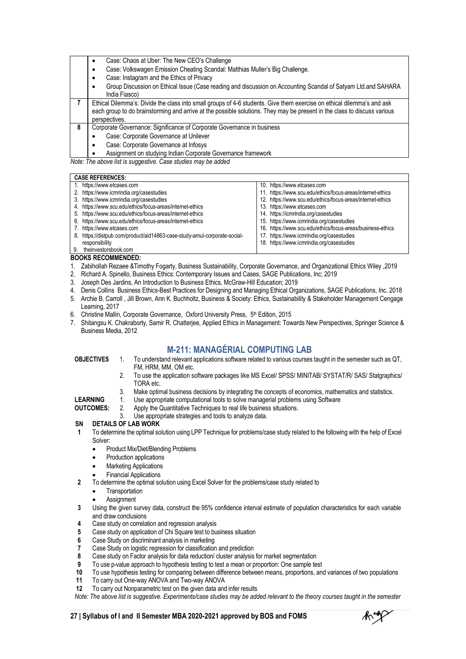|   | Case: Chaos at Uber: The New CEO's Challenge<br>٠                                                                        |
|---|--------------------------------------------------------------------------------------------------------------------------|
|   | Case: Volkswagen Emission Cheating Scandal: Matthias Muller's Big Challenge.                                             |
|   | Case: Instagram and the Ethics of Privacy                                                                                |
|   | Group Discussion on Ethical Issue (Case reading and discussion on Accounting Scandal of Satyam Ltd.and SAHARA            |
|   | India Fiasco)                                                                                                            |
|   | Ethical Dilemma's: Divide the class into small groups of 4-6 students. Give them exercise on ethical dilemma's and ask   |
|   | each group to do brainstorming and arrive at the possible solutions. They may be present in the class to discuss various |
|   | perspectives.                                                                                                            |
| 8 | Corporate Governance: Significance of Corporate Governance in business                                                   |
|   | Case: Corporate Governance at Unilever                                                                                   |
|   | Case: Corporate Governance at Infosys<br>٠                                                                               |
|   | Assignment on studying Indian Corporate Governance framework                                                             |

*Note: The above list is suggestive. Case studies may be added*

#### **CASE REFERENCES:**

- 1. http[s://www.etcases.com](http://www.etcases.com/) 2. https:[//www.icmrindia.org/casestudies](http://www.icmrindia.org/casestudies)
- 3. https:[//www.icmrindia.org/casestudies](http://www.icmrindia.org/casestudies)
- 4. http[s://www.scu.edu/ethics/focus-areas/internet-ethics](http://www.scu.edu/ethics/focus-areas/internet-ethics)
- 5. http[s://www.scu.edu/ethics/focus-areas/internet-ethics](http://www.scu.edu/ethics/focus-areas/internet-ethics)
- 6. http[s://www.scu.edu/ethics/focus-areas/internet-ethics](http://www.scu.edu/ethics/focus-areas/internet-ethics)
- 7. http[s://www.etcases.com](http://www.etcases.com/)
- 8. https://distpub.com/product/aid14863-case-study-amul-corporate-socialresponsibility 9. theinvestorsbook.com
- 11. http[s://www.scu.edu/ethics/focus-areas/internet-ethics](http://www.scu.edu/ethics/focus-areas/internet-ethics)
- 12. http[s://www.scu.edu/ethics/focus-areas/internet-ethics](http://www.scu.edu/ethics/focus-areas/internet-ethics)
- 13. http[s://www.etcases.com](http://www.etcases.com/)

10. http[s://www.etcases.com](http://www.etcases.com/)

- 14. https://icmrindia.org/casestudies
- 15. https:[//www.icmrindia.org/casestudies](http://www.icmrindia.org/casestudies)
- 16. http[s://www.scu.edu/ethics/focus-areas/business-ethics](http://www.scu.edu/ethics/focus-areas/business-ethics)
- 17. https:[//www.icmrindia.org/casestudies](http://www.icmrindia.org/casestudies)
- 18. https:[//www.icmrindia.org/casestudies](http://www.icmrindia.org/casestudies)

#### **BOOKS RECOMMENDED:**

- 1. Zabihollah Rezaee &Timothy Fogarty, Business Sustainability, Corporate Governance, and Organizational Ethics Wiley ,2019
- 2. Richard A. Spinello, Business Ethics: Contemporary Issues and Cases, SAGE Publications, Inc; 2019
- 3. Joseph Des Jardins, An Introduction to Business Ethics, McGraw-Hill Education; 2019
- 4. Denis Collins Business Ethics-Best Practices for Designing and Managing Ethical Organizations, SAGE Publications, Inc. 2018
- 5. Archie B. Carroll , Jill Brown, Ann K. Buchholtz, Business & Society: Ethics, Sustainability & Stakeholder Management Cengage Learning, 2017
- 6. Christine Mallin, Corporate Governance, Oxford University Press, 5<sup>th</sup> Edition, 2015
- 7. Shitangsu K. Chakraborty, Samir R. Chatterjee, Applied Ethics in Management: Towards New Perspectives, Springer Science & Business Media, 2012

#### **M-211: MANAGÉRIAL COMPUTING LAB**

- **OBJECTIVES** 1. To understand relevant applications software related to various courses taught in the semester such as QT,
	- FM, HRM, MM, OM etc.
	- 2. To use the application software packages like MS Excel/ SPSS/ MINITAB/ SYSTAT/R/ SAS/ Statgraphics/ TORA etc.
	- 3. Make optimal business decisions by integrating the concepts of economics, mathematics and statistics.
- **LEARNING** 1. Use appropriate computational tools to solve managerial problems using Software<br>2. Apply the Quantitative Techniques to real life business situations.
- **OUTCOMES:** Apply the Quantitative Techniques to real life business situations.
	- 3. Use appropriate strategies and tools to analyze data.

#### **SN DETAILS OF LAB WORK**

- **1** To determine the optimal solution using LPP Technique for problems/case study related to the following with the help of Excel Solver:
	- Product Mix/Diet/Blending Problems
	- Production applications
	- Marketing Applications
	- Financial Applications
- **2** To determine the optimal solution using Excel Solver for the problems/case study related to
	- **Transportation**
	- **Assignment**
- **3** Using the given survey data, construct the 95% confidence interval estimate of population characteristics for each variable and draw conclusions
- **4** Case study on correlation and regression analysis
- **5** Case study on application of Chi Square test to business situation
- **6** Case Study on discriminant analysis in marketing
- **7** Case Study on logistic regression for classification and prediction
- **8** Case study on Factor analysis for data reduction/ cluster analysis for market segmentation
- **9** To use p-value approach to hypothesis testing to test a mean or proportion: One sample test
- **10** To use hypothesis testing for comparing between difference between means, proportions, and variances of two populations
- **11** To carry out One-way ANOVA and Two-way ANOVA
- **12** To carry out Nonparametric test on the given data and infer results

*Note: The above list is suggestive. Experiments/case studies may be added relevant to the theory courses taught in the semester*

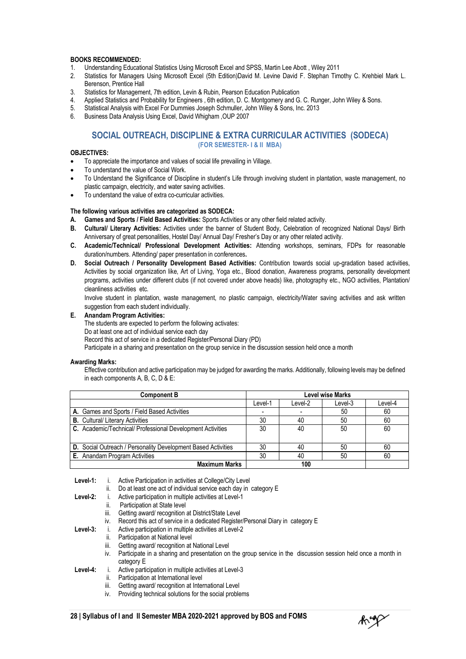#### **BOOKS RECOMMENDED:**

- 1. Understanding Educational Statistics Using Microsoft Excel and SPSS, Martin Lee Abott , Wiley 2011
- 2. Statistics for Managers Using Microsoft Excel (5th Edition)David M. Levine David F. Stephan Timothy C. Krehbiel Mark L. Berenson, Prentice Hall
- 3. Statistics for Management, 7th edition, Levin & Rubin, Pearson Education Publication<br>4. Applied Statistics and Probability for Engineers 6th edition. D. C. Montgomery and G.
- 4. Applied Statistics and Probability for Engineers , 6th edition, D. C. Montgomery and G. C. Runger, John Wiley & Sons.<br>5. Statistical Analysis with Excel For Dummies Joseph Schmuller. John Wiley & Sons. Inc. 2013
- 5. Statistical Analysis with Excel For Dummies Joseph Schmuller, John Wiley & Sons, Inc. 2013
- 6. Business Data Analysis Using Excel, David Whigham ,OUP 2007

#### **SOCIAL OUTREACH, DISCIPLINE & EXTRA CURRICULAR ACTIVITIES (SODECA) (FOR SEMESTER- I & II MBA)**

#### **OBJECTIVES:**

- To appreciate the importance and values of social life prevailing in Village.
- To understand the value of Social Work.
- To Understand the Significance of Discipline in student's Life through involving student in plantation, waste management, no plastic campaign, electricity, and water saving activities.
- To understand the value of extra co-curricular activities.

#### **The following various activities are categorized as SODECA:**

- **A. Games and Sports / Field Based Activities:** Sports Activities or any other field related activity.
- **B. Cultural/ Literary Activities:** Activities under the banner of Student Body, Celebration of recognized National Days/ Birth Anniversary of great personalities, Hostel Day/ Annual Day/ Fresher's Day or any other related activity.
- **C. Academic/Technical/ Professional Development Activities:** Attending workshops, seminars, FDPs for reasonable duration/numbers. Attending/ paper presentation in conferences**.**
- **D. Social Outreach / Personality Development Based Activities:** Contribution towards social up-gradation based activities, Activities by social organization like, Art of Living, Yoga etc., Blood donation, Awareness programs, personality development programs, activities under different clubs (if not covered under above heads) like, photography etc., NGO activities, Plantation/ cleanliness activities etc.

Involve student in plantation, waste management, no plastic campaign, electricity/Water saving activities and ask written suggestion from each student individually.

#### **E. Anandam Program Activities:**

The students are expected to perform the following activates:

Do at least one act of individual service each day

Record this act of service in a dedicated Register/Personal Diary (PD)

Participate in a sharing and presentation on the group service in the discussion session held once a month

#### **Awarding Marks:**

Effective contribution and active participation may be judged for awarding the marks. Additionally, following levelsmay be defined in each components A, B, C, D & E:

| <b>Component B</b>                                                   | <b>Level wise Marks</b> |         |         |         |
|----------------------------------------------------------------------|-------------------------|---------|---------|---------|
|                                                                      | Level-1                 | Level-2 | Level-3 | Level-4 |
| A. Games and Sports / Field Based Activities                         |                         |         | 50      | 60      |
| <b>B.</b> Cultural/Literary Activities                               | 30                      | 40      | 50      | 60      |
| C. Academic/Technical/ Professional Development Activities           | 30                      | 40      | 50      | 60      |
| <b>D.</b> Social Outreach / Personality Development Based Activities | 30                      | 40      | 50      | 60      |
| <b>E.</b> Anandam Program Activities                                 | 30                      | 40      | 50      | 60      |
| <b>Maximum Marks</b>                                                 |                         | 100     |         |         |

**Level-1:** i. Active Participation in activities at College/City Level

- ii. Do at least one act of individual service each day in category E
- Level-2: i. Active participation in multiple activities at Level-1
	- ii. Participation at State level
	- iii. Getting award/ recognition at District/State Level
	- iv. Record this act of service in a dedicated Register/Personal Diary in category E

**Level-3:** i. Active participation in multiple activities at Level-2

- ii. Participation at National level
- iii. Getting award/ recognition at National Level
- iv. Participate in a sharing and presentation on the group service in the discussion session held once a month in category E
- **Level-4:** i. Active participation in multiple activities at Level-3
	- ii. Participation at International level
	- iii. Getting award/ recognition at International Level
	- iv. Providing technical solutions for the social problems

Angp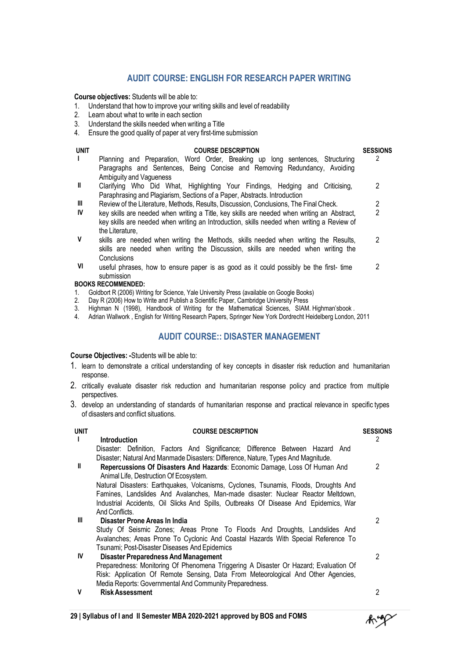#### **AUDIT COURSE: ENGLISH FOR RESEARCH PAPER WRITING**

**Course objectives:** Students will be able to:

- 1. Understand that how to improve your writing skills and level of readability
- 2. Learn about what to write in each section
- 3. Understand the skills needed when writing a Title
- 4. Ensure the good quality of paper at very first-time submission

| <b>UNIT</b>  | <b>COURSE DESCRIPTION</b>                                                                                                                                                | <b>SESSIONS</b> |
|--------------|--------------------------------------------------------------------------------------------------------------------------------------------------------------------------|-----------------|
| $\mathbf{L}$ | Planning and Preparation, Word Order, Breaking up long sentences, Structuring<br>Paragraphs and Sentences, Being Concise and Removing Redundancy, Avoiding               | $\mathcal{P}$   |
|              | Ambiguity and Vagueness                                                                                                                                                  |                 |
| $\mathbf{I}$ | Clarifying Who Did What, Highlighting Your Findings, Hedging and Criticising,                                                                                            | 2               |
|              | Paraphrasing and Plagiarism, Sections of a Paper, Abstracts. Introduction                                                                                                |                 |
| Ш            | Review of the Literature, Methods, Results, Discussion, Conclusions, The Final Check.                                                                                    | 2               |
| IV           | key skills are needed when writing a Title, key skills are needed when writing an Abstract,                                                                              | 2               |
|              | key skills are needed when writing an Introduction, skills needed when writing a Review of                                                                               |                 |
|              | the Literature.                                                                                                                                                          |                 |
| V            | skills are needed when writing the Methods, skills needed when writing the Results,<br>skills are needed when writing the Discussion, skills are needed when writing the | 2               |
|              | Conclusions                                                                                                                                                              |                 |
| VI           | useful phrases, how to ensure paper is as good as it could possibly be the first-time                                                                                    | 2               |
|              | submission                                                                                                                                                               |                 |
|              | <b>BOOKS RECOMMENDED:</b>                                                                                                                                                |                 |
| 1.           | Goldbort R (2006) Writing for Science, Yale University Press (available on Google Books)                                                                                 |                 |
| 2.           | Day R (2006) How to Write and Publish a Scientific Paper, Cambridge University Press                                                                                     |                 |

- 
- 3. Highman N (1998), Handbook of Writing for the Mathematical Sciences, SIAM. Highman'sbook .
- 4. Adrian Wallwork , English for Writing Research Papers, Springer New York Dordrecht Heidelberg London, 2011

#### **AUDIT COURSE:: DISASTER MANAGEMENT**

**Course Objectives: -**Students will be able to:

- 1. learn to demonstrate a critical understanding of key concepts in disaster risk reduction and humanitarian response.
- 2. critically evaluate disaster risk reduction and humanitarian response policy and practice from multiple perspectives.
- 3. develop an understanding of standards of humanitarian response and practical relevance in specific types of disasters and conflict situations.

| UNIT         | <b>COURSE DESCRIPTION</b>                                                                                            | <b>SESSIONS</b> |
|--------------|----------------------------------------------------------------------------------------------------------------------|-----------------|
| $\mathbf{I}$ | <b>Introduction</b>                                                                                                  | 2               |
|              | Disaster: Definition, Factors And Significance; Difference Between Hazard And                                        |                 |
|              | Disaster; Natural And Manmade Disasters: Difference, Nature, Types And Magnitude.                                    |                 |
| Ш            | Repercussions Of Disasters And Hazards: Economic Damage, Loss Of Human And<br>Animal Life, Destruction Of Ecosystem. | 2               |
|              | Natural Disasters: Earthquakes, Volcanisms, Cyclones, Tsunamis, Floods, Droughts And                                 |                 |
|              | Famines, Landslides And Avalanches, Man-made disaster: Nuclear Reactor Meltdown,                                     |                 |
|              | Industrial Accidents, Oil Slicks And Spills, Outbreaks Of Disease And Epidemics, War                                 |                 |
|              | And Conflicts.                                                                                                       |                 |
| Ш            | Disaster Prone Areas In India                                                                                        | 2               |
|              | Study Of Seismic Zones; Areas Prone To Floods And Droughts, Landslides And                                           |                 |
|              | Avalanches; Areas Prone To Cyclonic And Coastal Hazards With Special Reference To                                    |                 |
|              | Tsunami; Post-Disaster Diseases And Epidemics                                                                        |                 |
| IV           | <b>Disaster Preparedness And Management</b>                                                                          | 2               |
|              | Preparedness: Monitoring Of Phenomena Triggering A Disaster Or Hazard; Evaluation Of                                 |                 |
|              | Risk: Application Of Remote Sensing, Data From Meteorological And Other Agencies,                                    |                 |
|              | Media Reports: Governmental And Community Preparedness.                                                              |                 |
| v            | <b>Risk Assessment</b>                                                                                               | റ               |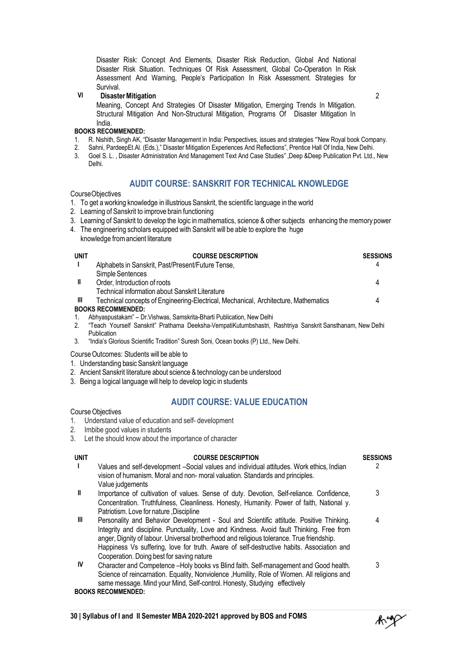Disaster Risk: Concept And Elements, Disaster Risk Reduction, Global And National Disaster Risk Situation. Techniques Of Risk Assessment, Global Co-Operation In Risk Assessment And Warning, People's Participation In Risk Assessment. Strategies for Survival.

#### **VI DisasterMitigation**

Meaning, Concept And Strategies Of Disaster Mitigation, Emerging Trends In Mitigation. Structural Mitigation And Non-Structural Mitigation, Programs Of Disaster Mitigation In India.

#### **BOOKS RECOMMENDED:**

- 1. R. Nishith, Singh AK, "Disaster Management in India: Perspectives, issues and strategies "'New Royal book Company.<br>2. Sahni. PardeepEt.AI. (Eds.)." Disaster Mitigation Experiences And Reflections". Prentice Hall Of Indi
- 2. Sahni, PardeepEt.Al. (Eds.)," Disaster Mitigation Experiences And Reflections", Prentice Hall Of India, New Delhi.
- 3. Goel S. L. , Disaster Administration And Management Text And Case Studies" ,Deep &Deep Publication Pvt. Ltd., New Delhi.

#### **AUDIT COURSE: SANSKRIT FOR TECHNICAL KNOWLEDGE**

#### CourseObjectives

- 1. To get a working knowledge in illustrious Sanskrit, the scientific language in the world
- 2. Learning of Sanskrit to improve brain functioning
- 3. Learning of Sanskrit to develop the logic inmathematics, science & other subjects enhancing the memory power
- 4. The engineering scholars equipped with Sanskrit will be able to explore the huge knowledge fromancient literature

| <b>UNIT</b> | <b>COURSE DESCRIPTION</b>                                                                                                                                                                                                         | <b>SESSIONS</b> |
|-------------|-----------------------------------------------------------------------------------------------------------------------------------------------------------------------------------------------------------------------------------|-----------------|
|             | Alphabets in Sanskrit, Past/Present/Future Tense,                                                                                                                                                                                 |                 |
|             | Simple Sentences                                                                                                                                                                                                                  |                 |
| Ш           | Order, Introduction of roots                                                                                                                                                                                                      |                 |
|             | Technical information about Sanskrit Literature                                                                                                                                                                                   |                 |
| Ш           | Technical concepts of Engineering-Electrical, Mechanical, Architecture, Mathematics                                                                                                                                               |                 |
|             | <b>BOOKS RECOMMENDED:</b>                                                                                                                                                                                                         |                 |
|             | Abhyaspustakam" - Dr. Vishwas, Samskrita-Bharti Publication, New Delhi                                                                                                                                                            |                 |
|             | $\mathbb{R}$ . The state of the state of the state of the state of the state of the state of the state of the state of the state of the state of the state of the state of the state of the state of the state of the state of th |                 |

- 2. "Teach Yourself Sanskrit" Prathama Deeksha-VempatiKutumbshastri, Rashtriya Sanskrit Sansthanam, New Delhi Publication
- 3. "India's Glorious Scientific Tradition" Suresh Soni, Ocean books (P) Ltd., New Delhi.
- Course Outcomes: Students will be able to
- 1. Understanding basic Sanskrit language
- 2. Ancient Sanskrit literature about science & technology can be understood
- 3. Being a logical language will help to develop logic in students

#### **AUDIT COURSE: VALUE EDUCATION**

#### **Course Objectives**

- 1. Understand value of education and self- development
- 2. Imbibe good values in students
- 3. Let the should know about the importance of character

#### **UNIT COURSE DESCRIPTION SESSIONS I** Values and self-development –Social values and individual attitudes. Work ethics, Indian vision of humanism.Moral and non- moral valuation. Standards and principles. Value judgements  $\mathfrak{p}$ **II** Importance of cultivation of values. Sense of duty. Devotion, Self-reliance. Confidence, Concentration. Truthfulness, Cleanliness. Honesty, Humanity. Power of faith, National y. Patriotism. Love for nature ,Discipline 3 **III** Personality and Behavior Development - Soul and Scientific attitude. Positive Thinking. Integrity and discipline. Punctuality, Love and Kindness. Avoid fault Thinking. Free from anger, Dignity of labour. Universal brotherhood and religious tolerance. True friendship. Happiness Vs suffering, love for truth. Aware of self-destructive habits. Association and Cooperation. Doing best for saving nature 4 **IV** Character and Competence –Holy books vs Blind faith. Self-management and Good health. Science of reincarnation. Equality, Nonviolence ,Humility, Role of Women. All religions and same message. Mind your Mind, Self-control. Honesty, Studying effectively 3

**BOOKS RECOMMENDED:**

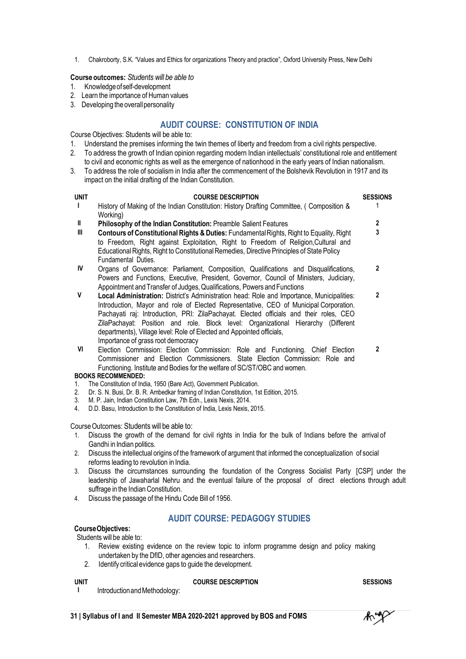1. Chakroborty, S.K. "Values and Ethics for organizations Theory and practice", Oxford University Press, New Delhi

#### **Course outcomes:** *Students will be able to*

- 1. Knowledgeofself-development
- 2. Learn the importance of Human values
- 3. Developing the overallpersonality

#### **AUDIT COURSE: CONSTITUTION OF INDIA**

#### Course Objectives: Students will be able to:

- 
- 1. Understand the premises informing the twin themes of liberty and freedom from a civil rights perspective.<br>2. To address the growth of Indian opinion regarding modern Indian intellectuals' constitutional role and entit 2. To address the growth of Indian opinion regarding modern Indian intellectuals' constitutional role and entitlement to civil and economic rights as well as the emergence of nationhood in the early years of Indian nationalism.
- 3. To address the role of socialism in India after the commencement of the Bolshevik Revolution in 1917 and its impact on the initial drafting of the Indian Constitution.

| <b>UNIT</b>    | <b>COURSE DESCRIPTION</b>                                                                                                                                                                                                                                                                                                                                                                                                                                                         | <b>SESSIONS</b> |
|----------------|-----------------------------------------------------------------------------------------------------------------------------------------------------------------------------------------------------------------------------------------------------------------------------------------------------------------------------------------------------------------------------------------------------------------------------------------------------------------------------------|-----------------|
| $\mathbf{I}$   | History of Making of the Indian Constitution: History Drafting Committee, (Composition &<br>Working)                                                                                                                                                                                                                                                                                                                                                                              |                 |
| Ш              | Philosophy of the Indian Constitution: Preamble Salient Features                                                                                                                                                                                                                                                                                                                                                                                                                  | $\mathbf{2}$    |
| $\mathbf{III}$ | Contours of Constitutional Rights & Duties: Fundamental Rights, Right to Equality, Right<br>to Freedom, Right against Exploitation, Right to Freedom of Religion, Cultural and<br>Educational Rights, Right to Constitutional Remedies, Directive Principles of State Policy<br>Fundamental Duties.                                                                                                                                                                               | 3               |
| IV             | Organs of Governance: Parliament, Composition, Qualifications and Disqualifications,<br>Powers and Functions, Executive, President, Governor, Council of Ministers, Judiciary,<br>Appointment and Transfer of Judges, Qualifications, Powers and Functions                                                                                                                                                                                                                        | $\overline{2}$  |
| ۷              | Local Administration: District's Administration head: Role and Importance, Municipalities:<br>Introduction, Mayor and role of Elected Representative, CEO of Municipal Corporation.<br>Pachayati raj: Introduction, PRI: ZilaPachayat. Elected officials and their roles, CEO<br>ZilaPachayat: Position and role. Block level: Organizational Hierarchy (Different<br>departments), Village level: Role of Elected and Appointed officials,<br>Importance of grass root democracy | $\mathbf{2}$    |
| VI             | Election Commission: Election Commission: Role and Functioning. Chief Election<br>Commissioner and Election Commissioners. State Election Commission: Role and<br>Functioning. Institute and Bodies for the welfare of SC/ST/OBC and women.                                                                                                                                                                                                                                       | $\mathbf{2}$    |
| 1.             | <b>BOOKS RECOMMENDED:</b><br>The Constitution of India, 1950 (Bare Act), Government Publication.                                                                                                                                                                                                                                                                                                                                                                                  |                 |
| 2.             | Dr. S. N. Busi, Dr. B. R. Ambedkar framing of Indian Constitution, 1st Edition, 2015.                                                                                                                                                                                                                                                                                                                                                                                             |                 |
| 3.             | M. P. Jain, Indian Constitution Law, 7th Edn., Lexis Nexis, 2014.                                                                                                                                                                                                                                                                                                                                                                                                                 |                 |
| 4.             | D.D. Basu, Introduction to the Constitution of India, Lexis Nexis, 2015.                                                                                                                                                                                                                                                                                                                                                                                                          |                 |

Course Outcomes: Students will be able to:

- 1. Discuss the growth of the demand for civil rights in India for the bulk of Indians before the arrival of Gandhi in Indian politics.
- 2. Discuss the intellectual origins of the framework of argument that informed the conceptualization of social reforms leading to revolution in India.
- 3. Discuss the circumstances surrounding the foundation of the Congress Socialist Party [CSP] under the leadership of Jawaharlal Nehru and the eventual failure of the proposal of direct elections through adult suffrage in the Indian Constitution.
- 4. Discuss the passage of the Hindu Code Bill of 1956.

#### **AUDIT COURSE: PEDAGOGY STUDIES**

#### **CourseObjectives:**

Students will be able to:

- 1. Review existing evidence on the review topic to inform programme design and policy making undertaken by the DfID, other agencies and researchers.
- 2. Identify critical evidence gaps to guide the development.

#### **UNIT COURSE DESCRIPTION SESSIONS**

**I** Introduction and Methodology:

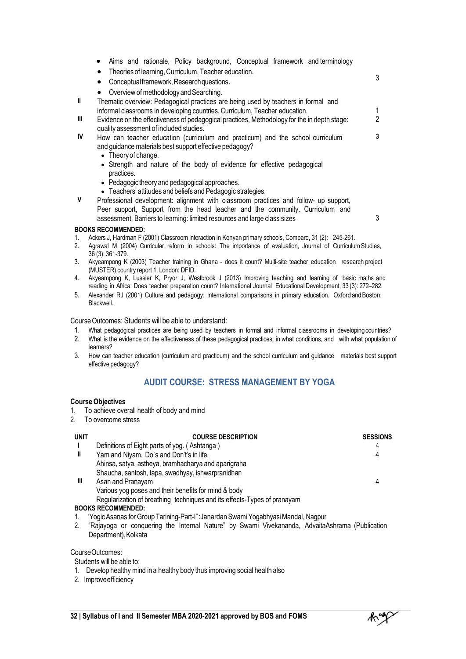|              | Aims and rationale, Policy background, Conceptual framework and terminology<br>$\bullet$                                                                 |   |
|--------------|----------------------------------------------------------------------------------------------------------------------------------------------------------|---|
|              | Theories of learning, Curriculum, Teacher education.<br>$\bullet$                                                                                        |   |
|              | Conceptual framework, Research questions.<br>$\bullet$                                                                                                   | 3 |
|              | Overview of methodology and Searching.                                                                                                                   |   |
| $\mathbf{I}$ | Thematic overview: Pedagogical practices are being used by teachers in formal and                                                                        |   |
|              | informal classrooms in developing countries. Curriculum, Teacher education.                                                                              |   |
| Ш            | Evidence on the effectiveness of pedagogical practices, Methodology for the in depth stage:<br>quality assessment of included studies.                   | 2 |
| IV           | How can teacher education (curriculum and practicum) and the school curriculum                                                                           | 3 |
|              | and guidance materials best support effective pedagogy?                                                                                                  |   |
|              | • Theory of change.                                                                                                                                      |   |
|              | • Strength and nature of the body of evidence for effective pedagogical<br>practices.                                                                    |   |
|              | • Pedagogic theory and pedagogical approaches.                                                                                                           |   |
|              | • Teachers' attitudes and beliefs and Pedagogic strategies.                                                                                              |   |
| $\mathsf{V}$ | Professional development: alignment with classroom practices and follow- up support,                                                                     |   |
|              | Peer support, Support from the head teacher and the community. Curriculum and                                                                            |   |
|              | assessment, Barriers to learning: limited resources and large class sizes                                                                                | 3 |
|              | <b>BOOKS RECOMMENDED:</b>                                                                                                                                |   |
| 1.           | Ackers J, Hardman F (2001) Classroom interaction in Kenyan primary schools, Compare, 31 (2): 245-261.                                                    |   |
| 2.           | Agrawal M (2004) Curricular reform in schools: The importance of evaluation, Journal of Curriculum Studies,                                              |   |
|              | 36 (3): 361-379.                                                                                                                                         |   |
| 3.           | Akyeampong K (2003) Teacher training in Ghana - does it count? Multi-site teacher education research project<br>(MUSTER) country report 1. London: DFID. |   |
| 4.           | Akyeampong K, Lussier K, Pryor J, Westbrook J (2013) Improving teaching and learning of basic maths and                                                  |   |
|              | reading in Africa: Dean teacher proposation count Obtainedianal Jaumel Educational Development 22/2): 270-202                                            |   |

reading in Africa: Does teacher preparation count? International Journal Educational Development, 33 (3): 272-282. 5. Alexander RJ (2001) Culture and pedagogy: International comparisons in primary education. Oxford andBoston: Blackwell.

Course Outcomes: Students will be able to understand:

- 1. What pedagogical practices are being used by teachers in formal and informal classrooms in developingcountries?
- 2. What is the evidence on the effectiveness of these pedagogical practices, in what conditions, and with what population of learners?
- 3. How can teacher education (curriculum and practicum) and the school curriculum and guidance materials best support effective pedagogy?

#### **AUDIT COURSE: STRESS MANAGEMENT BY YOGA**

#### **CourseObjectives**

- 1. To achieve overall health of body and mind
- 2. To overcome stress

| <b>UNIT</b> | <b>COURSE DESCRIPTION</b>                                                | <b>SESSIONS</b> |
|-------------|--------------------------------------------------------------------------|-----------------|
|             | Definitions of Eight parts of yog. (Ashtanga)                            | 4               |
| Ш           | Yam and Niyam. Do's and Don't's in life.                                 | 4               |
|             | Ahinsa, satya, astheya, bramhacharya and aparigraha                      |                 |
|             | Shaucha, santosh, tapa, swadhyay, ishwarpranidhan                        |                 |
| Ш           | Asan and Pranayam                                                        | 4               |
|             | Various yog poses and their benefits for mind & body                     |                 |
|             | Regularization of breathing techniques and its effects-Types of pranayam |                 |
|             | <b>BOOKS RECOMMENDED:</b>                                                |                 |

- 1. 'YogicAsanas forGroup Tarining-Part-I":Janardan Swami YogabhyasiMandal, Nagpur
- 2. "Rajayoga or conquering the Internal Nature" by Swami Vivekananda, AdvaitaAshrama (Publication Department), Kolkata

CourseOutcomes:

- Students will be able to:
- 1. Develop healthy mind in a healthy body thus improving social health also
- 2. Improveefficiency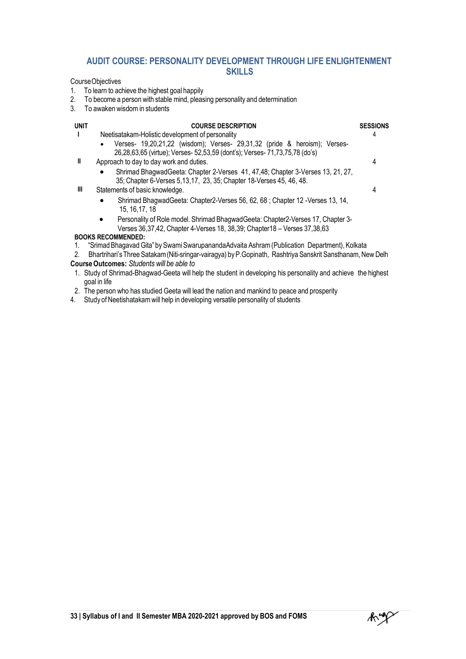#### **AUDIT COURSE: PERSONALITY DEVELOPMENT THROUGH LIFE ENLIGHTENMENT SKILLS**

CourseObjectives

- 1. To learn to achieve the highest goal happily
- 2. To become a person with stable mind, pleasing personality and determination
- 3. To awaken wisdom in students

#### **UNIT COURSE DESCRIPTION SESSIONS I** Neetisatakam-Holistic development of personality Verses- 19,20,21,22 (wisdom); Verses- 29,31,32 (pride & heroism); Verses-26,28,63,65 (virtue); Verses- 52,53,59 (dont's); Verses- 71,73,75,78 (do's) 4 **II** Approach to day to day work and duties. Shrimad BhagwadGeeta: Chapter 2-Verses 41, 47,48; Chapter 3-Verses 13, 21, 27, 35; Chapter 6-Verses 5,13,17, 23, 35; Chapter 18-Verses 45, 46, 48. 4 **III** Statements of basic knowledge. Shrimad BhagwadGeeta: Chapter2-Verses 56, 62, 68 ; Chapter 12 -Verses 13, 14, 15, 16,17, 18 Personality of Role model. Shrimad BhagwadGeeta: Chapter2-Verses 17, Chapter 3- Verses 36,37,42, Chapter 4-Verses 18, 38,39; Chapter18 – Verses 37,38,63 4 **BOOKS RECOMMENDED:** 1. "Srimad Bhagavad Gita" by Swami Swarupananda Advaita Ashram (Publication Department), Kolkata<br>2. Bhartrihari's Three Satakam (Niti-sringar-vairagya) by P.Gopinath. Rashtriva Sanskrit Sansthanam. Ne 2. Bhartrihari'sThree Satakam(Niti-sringar-vairagya) byP.Gopinath, Rashtriya Sanskrit Sansthanam,New Delh

#### **CourseOutcomes:** *Students will be able to*

- 1. Study of Shrimad-Bhagwad-Geeta will help the student in developing his personality and achieve the highest goal in life
- 2. The person who has studied Geeta will lead the nation and mankind to peace and prosperity
- 4. Study of Neetishatakamwill help in developing versatile personality of students

Ruge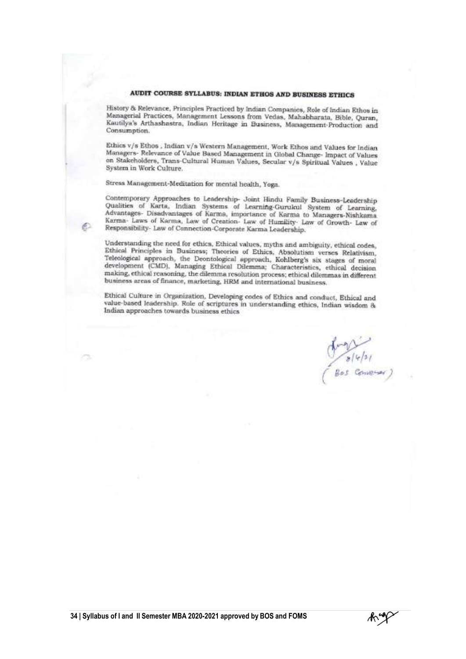#### AUDIT COURSE SYLLABUS: INDIAN ETHOS AND BUSINESS ETHICS

History & Relevance, Principles Practiced by Indian Companies, Role of Indian Ethos in Managerial Practices, Management Lessons from Vedas, Mahabharata, Bible, Quran, Kautilya's Arthashastra, Indian Heritage in Business, Management-Production and Consumption.

Ethics v/s Ethos, Indian v/s Western Management, Work Ethos and Values for Indian Managers- Relevance of Value Based Management in Global Change- Impact of Values on Stakeholders, Trans-Cultural Human Values, Secular v/s Spiritual Values, Value System in Work Culture.

Stress Management-Meditation for mental health, Yoga.

Contemporary Approaches to Leadership- Joint Hindu Family Business-Leadership Qualities of Karta, Indian Systems of Learning-Gurulau System of Learning, Advantages-Disadvantages of Karma, importance of Karma to Managers-Nishkama Karma- Laws of Karma, Law of Creation- Law of Humility- Law of Growth- Law of Responsibility- Law of Connection-Corporate Karma Leadership.

Understanding the need for ethics, Ethical values, myths and ambiguity, ethical codes, Understanding the need for ethics, Ethical values, myths and ambiguity, ethical codes,<br>Ethical Principles in Business; Theories of Ethics, Absolutism verses Relativism,<br>Teleological approach, the Deontological approach, Ko making, ethical reasoning, the dilemma resolution process; ethical dilemmas in different business areas of finance, marketing, HRM and international business.

Ethical Culture in Organization, Developing codes of Ethics and conduct, Ethical and value-based leadership. Role of scriptures in understanding ethics, Indian wisdom & Indian approaches towards business ethics